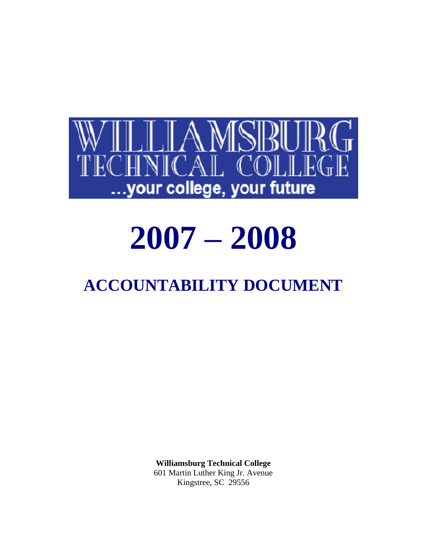

# **2007 – 2008**

# **ACCOUNTABILITY DOCUMENT**

**Williamsburg Technical College** 601 Martin Luther King Jr. Avenue Kingstree, SC 29556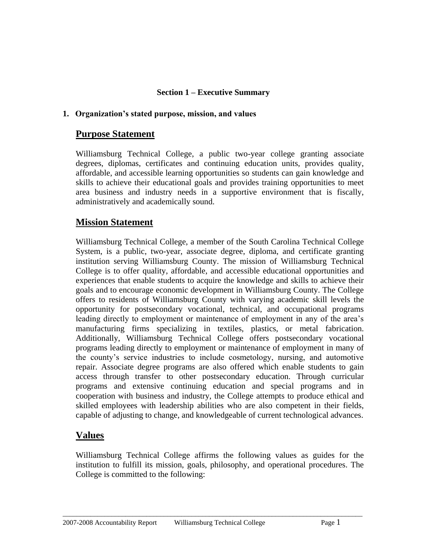#### **Section 1 – Executive Summary**

#### **1. Organization's stated purpose, mission, and values**

## **Purpose Statement**

Williamsburg Technical College, a public two-year college granting associate degrees, diplomas, certificates and continuing education units, provides quality, affordable, and accessible learning opportunities so students can gain knowledge and skills to achieve their educational goals and provides training opportunities to meet area business and industry needs in a supportive environment that is fiscally, administratively and academically sound.

#### **Mission Statement**

Williamsburg Technical College, a member of the South Carolina Technical College System, is a public, two-year, associate degree, diploma, and certificate granting institution serving Williamsburg County. The mission of Williamsburg Technical College is to offer quality, affordable, and accessible educational opportunities and experiences that enable students to acquire the knowledge and skills to achieve their goals and to encourage economic development in Williamsburg County. The College offers to residents of Williamsburg County with varying academic skill levels the opportunity for postsecondary vocational, technical, and occupational programs leading directly to employment or maintenance of employment in any of the area's manufacturing firms specializing in textiles, plastics, or metal fabrication. Additionally, Williamsburg Technical College offers postsecondary vocational programs leading directly to employment or maintenance of employment in many of the county's service industries to include cosmetology, nursing, and automotive repair. Associate degree programs are also offered which enable students to gain access through transfer to other postsecondary education. Through curricular programs and extensive continuing education and special programs and in cooperation with business and industry, the College attempts to produce ethical and skilled employees with leadership abilities who are also competent in their fields, capable of adjusting to change, and knowledgeable of current technological advances.

# **Values**

Williamsburg Technical College affirms the following values as guides for the institution to fulfill its mission, goals, philosophy, and operational procedures. The College is committed to the following: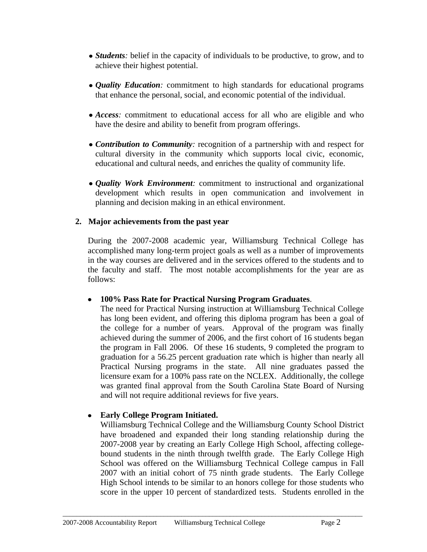- *Students*: belief in the capacity of individuals to be productive, to grow, and to achieve their highest potential.
- *Quality Education:* commitment to high standards for educational programs that enhance the personal, social, and economic potential of the individual.
- Access: commitment to educational access for all who are eligible and who have the desire and ability to benefit from program offerings.
- *Contribution to Community:* recognition of a partnership with and respect for cultural diversity in the community which supports local civic, economic, educational and cultural needs, and enriches the quality of community life.
- *Quality Work Environment:* commitment to instructional and organizational development which results in open communication and involvement in planning and decision making in an ethical environment.

#### **2. Major achievements from the past year**

During the 2007-2008 academic year, Williamsburg Technical College has accomplished many long-term project goals as well as a number of improvements in the way courses are delivered and in the services offered to the students and to the faculty and staff. The most notable accomplishments for the year are as follows:

#### **100% Pass Rate for Practical Nursing Program Graduates**.

The need for Practical Nursing instruction at Williamsburg Technical College has long been evident, and offering this diploma program has been a goal of the college for a number of years. Approval of the program was finally achieved during the summer of 2006, and the first cohort of 16 students began the program in Fall 2006. Of these 16 students, 9 completed the program to graduation for a 56.25 percent graduation rate which is higher than nearly all Practical Nursing programs in the state. All nine graduates passed the licensure exam for a 100% pass rate on the NCLEX. Additionally, the college was granted final approval from the South Carolina State Board of Nursing and will not require additional reviews for five years.

#### **Early College Program Initiated.**

Williamsburg Technical College and the Williamsburg County School District have broadened and expanded their long standing relationship during the 2007-2008 year by creating an Early College High School, affecting collegebound students in the ninth through twelfth grade. The Early College High School was offered on the Williamsburg Technical College campus in Fall 2007 with an initial cohort of 75 ninth grade students. The Early College High School intends to be similar to an honors college for those students who score in the upper 10 percent of standardized tests. Students enrolled in the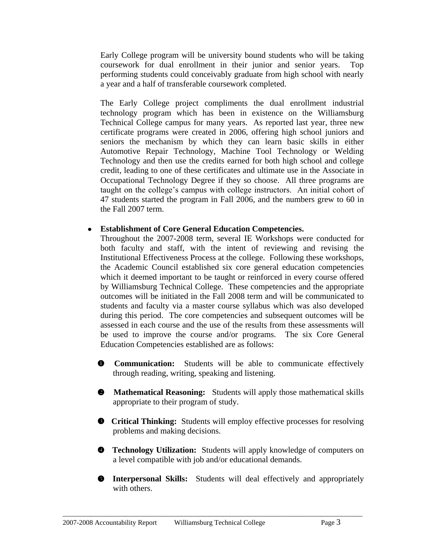Early College program will be university bound students who will be taking coursework for dual enrollment in their junior and senior years. Top performing students could conceivably graduate from high school with nearly a year and a half of transferable coursework completed.

The Early College project compliments the dual enrollment industrial technology program which has been in existence on the Williamsburg Technical College campus for many years. As reported last year, three new certificate programs were created in 2006, offering high school juniors and seniors the mechanism by which they can learn basic skills in either Automotive Repair Technology, Machine Tool Technology or Welding Technology and then use the credits earned for both high school and college credit, leading to one of these certificates and ultimate use in the Associate in Occupational Technology Degree if they so choose. All three programs are taught on the college's campus with college instructors. An initial cohort of 47 students started the program in Fall 2006, and the numbers grew to 60 in the Fall 2007 term.

#### **Establishment of Core General Education Competencies.**

Throughout the 2007-2008 term, several IE Workshops were conducted for both faculty and staff, with the intent of reviewing and revising the Institutional Effectiveness Process at the college. Following these workshops, the Academic Council established six core general education competencies which it deemed important to be taught or reinforced in every course offered by Williamsburg Technical College. These competencies and the appropriate outcomes will be initiated in the Fall 2008 term and will be communicated to students and faculty via a master course syllabus which was also developed during this period. The core competencies and subsequent outcomes will be assessed in each course and the use of the results from these assessments will be used to improve the course and/or programs. The six Core General Education Competencies established are as follows:

- **<sup>O</sup>** Communication: Students will be able to communicate effectively through reading, writing, speaking and listening.
- **Mathematical Reasoning:** Students will apply those mathematical skills appropriate to their program of study.
- **Critical Thinking:** Students will employ effective processes for resolving problems and making decisions.
- **Technology Utilization:** Students will apply knowledge of computers on a level compatible with job and/or educational demands.
- **Interpersonal Skills:** Students will deal effectively and appropriately with others.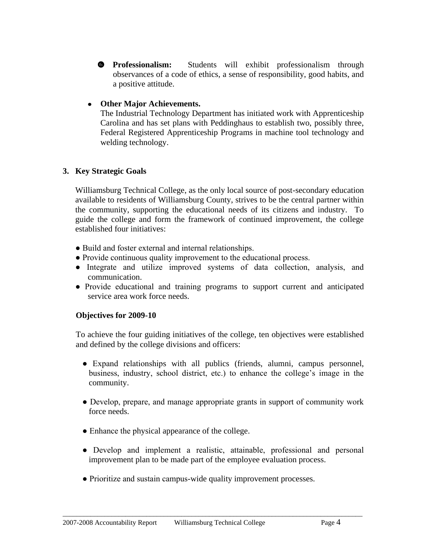**O** Professionalism: Students will exhibit professionalism through observances of a code of ethics, a sense of responsibility, good habits, and a positive attitude.

#### **Other Major Achievements.**

The Industrial Technology Department has initiated work with Apprenticeship Carolina and has set plans with Peddinghaus to establish two, possibly three, Federal Registered Apprenticeship Programs in machine tool technology and welding technology.

#### **3. Key Strategic Goals**

Williamsburg Technical College, as the only local source of post-secondary education available to residents of Williamsburg County, strives to be the central partner within the community, supporting the educational needs of its citizens and industry. To guide the college and form the framework of continued improvement, the college established four initiatives:

- Build and foster external and internal relationships.
- Provide continuous quality improvement to the educational process.
- Integrate and utilize improved systems of data collection, analysis, and communication.
- Provide educational and training programs to support current and anticipated service area work force needs.

#### **Objectives for 2009-10**

To achieve the four guiding initiatives of the college, ten objectives were established and defined by the college divisions and officers:

- Expand relationships with all publics (friends, alumni, campus personnel, business, industry, school district, etc.) to enhance the college's image in the community.
- Develop, prepare, and manage appropriate grants in support of community work force needs.
- Enhance the physical appearance of the college.
- Develop and implement a realistic, attainable, professional and personal improvement plan to be made part of the employee evaluation process.
- Prioritize and sustain campus-wide quality improvement processes.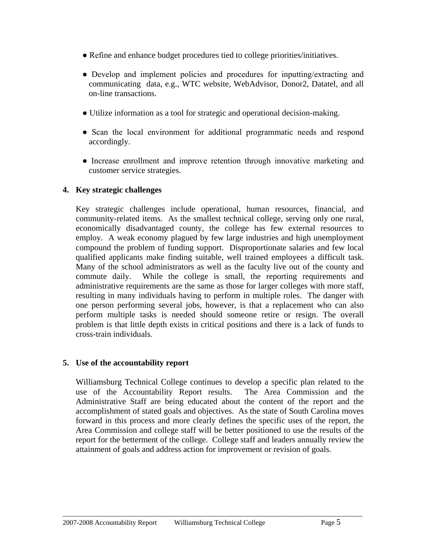- Refine and enhance budget procedures tied to college priorities/initiatives.
- Develop and implement policies and procedures for inputting/extracting and communicating data, e.g., WTC website, WebAdvisor, Donor2, Datatel, and all on-line transactions.
- Utilize information as a tool for strategic and operational decision-making.
- Scan the local environment for additional programmatic needs and respond accordingly.
- Increase enrollment and improve retention through innovative marketing and customer service strategies.

## **4. Key strategic challenges**

Key strategic challenges include operational, human resources, financial, and community-related items. As the smallest technical college, serving only one rural, economically disadvantaged county, the college has few external resources to employ. A weak economy plagued by few large industries and high unemployment compound the problem of funding support. Disproportionate salaries and few local qualified applicants make finding suitable, well trained employees a difficult task. Many of the school administrators as well as the faculty live out of the county and commute daily. While the college is small, the reporting requirements and administrative requirements are the same as those for larger colleges with more staff, resulting in many individuals having to perform in multiple roles. The danger with one person performing several jobs, however, is that a replacement who can also perform multiple tasks is needed should someone retire or resign. The overall problem is that little depth exists in critical positions and there is a lack of funds to cross-train individuals.

#### **5. Use of the accountability report**

Williamsburg Technical College continues to develop a specific plan related to the use of the Accountability Report results. The Area Commission and the Administrative Staff are being educated about the content of the report and the accomplishment of stated goals and objectives. As the state of South Carolina moves forward in this process and more clearly defines the specific uses of the report, the Area Commission and college staff will be better positioned to use the results of the report for the betterment of the college. College staff and leaders annually review the attainment of goals and address action for improvement or revision of goals.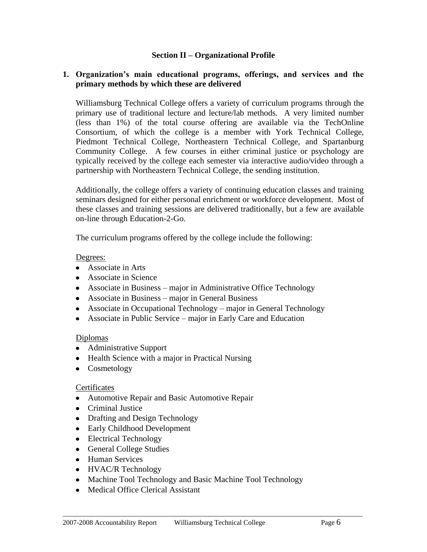#### **Section II – Organizational Profile**

#### **1. Organization's main educational programs, offerings, and services and the primary methods by which these are delivered**

Williamsburg Technical College offers a variety of curriculum programs through the primary use of traditional lecture and lecture/lab methods. A very limited number (less than 1%) of the total course offering are available via the TechOnline Consortium, of which the college is a member with York Technical College, Piedmont Technical College, Northeastern Technical College, and Spartanburg Community College. A few courses in either criminal justice or psychology are typically received by the college each semester via interactive audio/video through a partnership with Northeastern Technical College, the sending institution.

Additionally, the college offers a variety of continuing education classes and training seminars designed for either personal enrichment or workforce development. Most of these classes and training sessions are delivered traditionally, but a few are available on-line through Education-2-Go.

The curriculum programs offered by the college include the following:

#### Degrees:

- Associate in Arts
- Associate in Science
- Associate in Business major in Administrative Office Technology
- Associate in Business major in General Business
- Associate in Occupational Technology major in General Technology
- Associate in Public Service major in Early Care and Education

#### Diplomas

- Administrative Support
- Health Science with a major in Practical Nursing
- Cosmetology

#### Certificates

- Automotive Repair and Basic Automotive Repair
- Criminal Justice
- Drafting and Design Technology
- Early Childhood Development
- Electrical Technology
- General College Studies
- Human Services
- HVAC/R Technology
- Machine Tool Technology and Basic Machine Tool Technology

 $\_$  ,  $\_$  ,  $\_$  ,  $\_$  ,  $\_$  ,  $\_$  ,  $\_$  ,  $\_$  ,  $\_$  ,  $\_$  ,  $\_$  ,  $\_$  ,  $\_$  ,  $\_$  ,  $\_$  ,  $\_$  ,  $\_$  ,  $\_$  ,  $\_$  ,  $\_$  ,  $\_$  ,  $\_$  ,  $\_$  ,  $\_$  ,  $\_$  ,  $\_$  ,  $\_$  ,  $\_$  ,  $\_$  ,  $\_$  ,  $\_$  ,  $\_$  ,  $\_$  ,  $\_$  ,  $\_$  ,  $\_$  ,  $\_$  ,

• Medical Office Clerical Assistant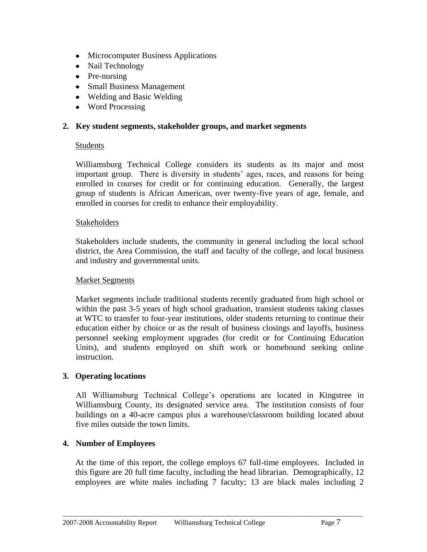- Microcomputer Business Applications
- Nail Technology
- Pre-nursing
- Small Business Management
- Welding and Basic Welding
- Word Processing

#### **2. Key student segments, stakeholder groups, and market segments**

#### Students

Williamsburg Technical College considers its students as its major and most important group. There is diversity in students' ages, races, and reasons for being enrolled in courses for credit or for continuing education. Generally, the largest group of students is African American, over twenty-five years of age, female, and enrolled in courses for credit to enhance their employability.

#### Stakeholders

Stakeholders include students, the community in general including the local school district, the Area Commission, the staff and faculty of the college, and local business and industry and governmental units.

#### Market Segments

Market segments include traditional students recently graduated from high school or within the past 3-5 years of high school graduation, transient students taking classes at WTC to transfer to four-year institutions, older students returning to continue their education either by choice or as the result of business closings and layoffs, business personnel seeking employment upgrades (for credit or for Continuing Education Units), and students employed on shift work or homebound seeking online instruction.

#### **3. Operating locations**

All Williamsburg Technical College's operations are located in Kingstree in Williamsburg County, its designated service area. The institution consists of four buildings on a 40-acre campus plus a warehouse/classroom building located about five miles outside the town limits.

#### **4. Number of Employees**

At the time of this report, the college employs 67 full-time employees. Included in this figure are 20 full time faculty, including the head librarian. Demographically, 12 employees are white males including 7 faculty; 13 are black males including 2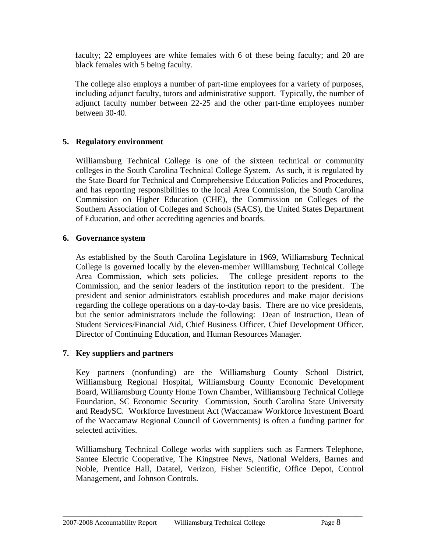faculty; 22 employees are white females with 6 of these being faculty; and 20 are black females with 5 being faculty.

The college also employs a number of part-time employees for a variety of purposes, including adjunct faculty, tutors and administrative support. Typically, the number of adjunct faculty number between 22-25 and the other part-time employees number between 30-40.

#### **5. Regulatory environment**

Williamsburg Technical College is one of the sixteen technical or community colleges in the South Carolina Technical College System. As such, it is regulated by the State Board for Technical and Comprehensive Education Policies and Procedures, and has reporting responsibilities to the local Area Commission, the South Carolina Commission on Higher Education (CHE), the Commission on Colleges of the Southern Association of Colleges and Schools (SACS), the United States Department of Education, and other accrediting agencies and boards.

#### **6. Governance system**

As established by the South Carolina Legislature in 1969, Williamsburg Technical College is governed locally by the eleven-member Williamsburg Technical College Area Commission, which sets policies. The college president reports to the Commission, and the senior leaders of the institution report to the president. The president and senior administrators establish procedures and make major decisions regarding the college operations on a day-to-day basis. There are no vice presidents, but the senior administrators include the following: Dean of Instruction, Dean of Student Services/Financial Aid, Chief Business Officer, Chief Development Officer, Director of Continuing Education, and Human Resources Manager.

#### **7. Key suppliers and partners**

Key partners (nonfunding) are the Williamsburg County School District, Williamsburg Regional Hospital, Williamsburg County Economic Development Board, Williamsburg County Home Town Chamber, Williamsburg Technical College Foundation, SC Economic Security Commission, South Carolina State University and ReadySC. Workforce Investment Act (Waccamaw Workforce Investment Board of the Waccamaw Regional Council of Governments) is often a funding partner for selected activities.

Williamsburg Technical College works with suppliers such as Farmers Telephone, Santee Electric Cooperative, The Kingstree News, National Welders, Barnes and Noble, Prentice Hall, Datatel, Verizon, Fisher Scientific, Office Depot, Control Management, and Johnson Controls.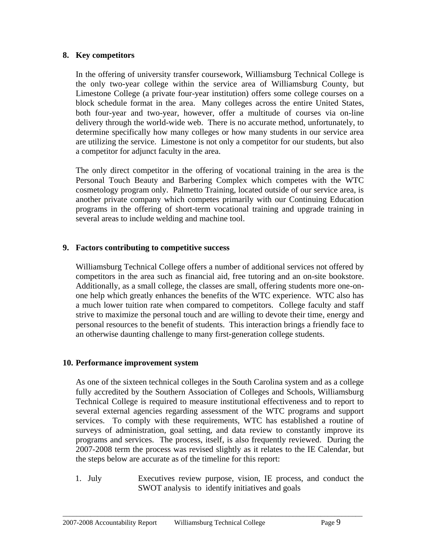#### **8. Key competitors**

In the offering of university transfer coursework, Williamsburg Technical College is the only two-year college within the service area of Williamsburg County, but Limestone College (a private four-year institution) offers some college courses on a block schedule format in the area. Many colleges across the entire United States, both four-year and two-year, however, offer a multitude of courses via on-line delivery through the world-wide web. There is no accurate method, unfortunately, to determine specifically how many colleges or how many students in our service area are utilizing the service. Limestone is not only a competitor for our students, but also a competitor for adjunct faculty in the area.

The only direct competitor in the offering of vocational training in the area is the Personal Touch Beauty and Barbering Complex which competes with the WTC cosmetology program only. Palmetto Training, located outside of our service area, is another private company which competes primarily with our Continuing Education programs in the offering of short-term vocational training and upgrade training in several areas to include welding and machine tool.

#### **9. Factors contributing to competitive success**

Williamsburg Technical College offers a number of additional services not offered by competitors in the area such as financial aid, free tutoring and an on-site bookstore. Additionally, as a small college, the classes are small, offering students more one-onone help which greatly enhances the benefits of the WTC experience. WTC also has a much lower tuition rate when compared to competitors. College faculty and staff strive to maximize the personal touch and are willing to devote their time, energy and personal resources to the benefit of students. This interaction brings a friendly face to an otherwise daunting challenge to many first-generation college students.

#### **10. Performance improvement system**

As one of the sixteen technical colleges in the South Carolina system and as a college fully accredited by the Southern Association of Colleges and Schools, Williamsburg Technical College is required to measure institutional effectiveness and to report to several external agencies regarding assessment of the WTC programs and support services. To comply with these requirements, WTC has established a routine of surveys of administration, goal setting, and data review to constantly improve its programs and services. The process, itself, is also frequently reviewed. During the 2007-2008 term the process was revised slightly as it relates to the IE Calendar, but the steps below are accurate as of the timeline for this report:

1. July Executives review purpose, vision, IE process, and conduct the SWOT analysis to identify initiatives and goals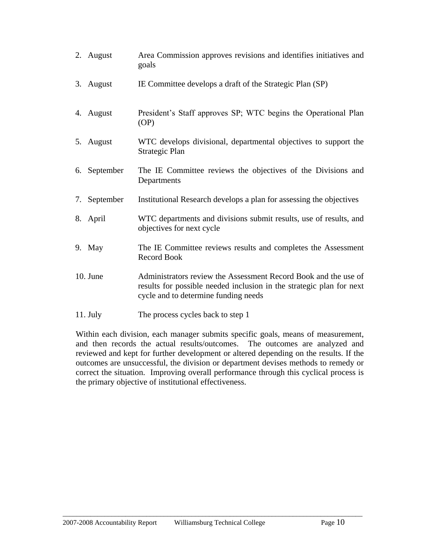| 2. August    | Area Commission approves revisions and identifies initiatives and<br>goals                                                                                                      |
|--------------|---------------------------------------------------------------------------------------------------------------------------------------------------------------------------------|
| 3. August    | IE Committee develops a draft of the Strategic Plan (SP)                                                                                                                        |
| 4. August    | President's Staff approves SP; WTC begins the Operational Plan<br>(OP)                                                                                                          |
| 5. August    | WTC develops divisional, departmental objectives to support the<br>Strategic Plan                                                                                               |
| 6. September | The IE Committee reviews the objectives of the Divisions and<br>Departments                                                                                                     |
| 7. September | Institutional Research develops a plan for assessing the objectives                                                                                                             |
| 8. April     | WTC departments and divisions submit results, use of results, and<br>objectives for next cycle                                                                                  |
| 9. May       | The IE Committee reviews results and completes the Assessment<br><b>Record Book</b>                                                                                             |
| 10. June     | Administrators review the Assessment Record Book and the use of<br>results for possible needed inclusion in the strategic plan for next<br>cycle and to determine funding needs |
| $11.$ July   | The process cycles back to step 1                                                                                                                                               |

Within each division, each manager submits specific goals, means of measurement, and then records the actual results/outcomes. The outcomes are analyzed and reviewed and kept for further development or altered depending on the results. If the outcomes are unsuccessful, the division or department devises methods to remedy or correct the situation. Improving overall performance through this cyclical process is the primary objective of institutional effectiveness.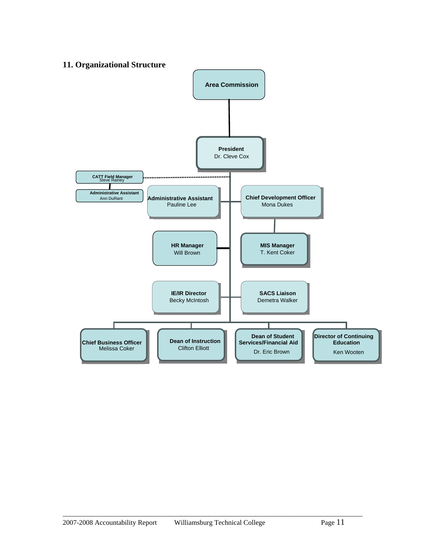#### **11. Organizational Structure**

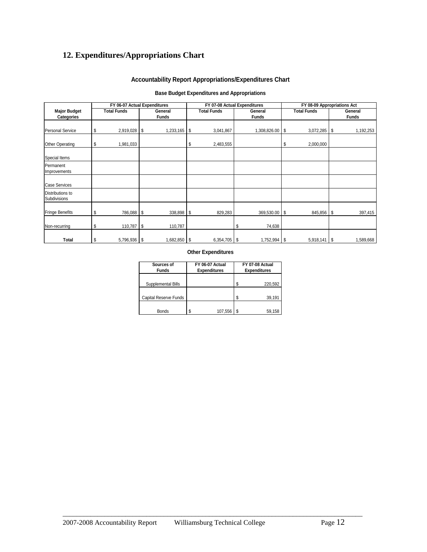## **12. Expenditures/Appropriations Chart**

#### **Accountability Report Appropriations/Expenditures Chart**

#### **Base Budget Expenditures and Appropriations**

| FY 06-07 Actual Expenditures      |    |                    |          |                         | FY 07-08 Actual Expenditures |    |                         | FY 08-09 Appropriations Act |                    |    |                         |
|-----------------------------------|----|--------------------|----------|-------------------------|------------------------------|----|-------------------------|-----------------------------|--------------------|----|-------------------------|
| <b>Major Budget</b><br>Categories |    | <b>Total Funds</b> |          | General<br><b>Funds</b> | <b>Total Funds</b>           |    | General<br><b>Funds</b> |                             | <b>Total Funds</b> |    | General<br><b>Funds</b> |
| <b>Personal Service</b>           | \$ | 2,919,028          | <b>S</b> | $1,233,165$ \$          | 3,041,867                    |    | 1,308,826.00            | - \$                        | 3,072,285          | \$ | 1,192,253               |
| <b>Other Operating</b>            | \$ | 1,981,033          |          |                         | \$<br>2,483,555              |    |                         | \$                          | 2,000,000          |    |                         |
| Special Items                     |    |                    |          |                         |                              |    |                         |                             |                    |    |                         |
| Permanent<br>Improvements         |    |                    |          |                         |                              |    |                         |                             |                    |    |                         |
| <b>Case Services</b>              |    |                    |          |                         |                              |    |                         |                             |                    |    |                         |
| Distributions to<br>Subdivisions  |    |                    |          |                         |                              |    |                         |                             |                    |    |                         |
| <b>Fringe Benefits</b>            | \$ | 786,088 \$         |          | 338,898 \$              | 829,283                      |    | 369,530.00              | <b>S</b>                    | 845,856 \$         |    | 397,415                 |
| Non-recurring                     | \$ |                    |          | 110,787                 |                              | \$ | 74,638                  |                             |                    |    |                         |
| Total                             | \$ | 5,796,936 \$       |          | 1,682,850 \$            | 6,354,705                    | \$ | $1,752,994$ \$          |                             | $5,918,141$ \$     |    | 1,589,668               |

#### **Other Expenditures**

| Sources of<br><b>Funds</b> | FY 06-07 Actual<br><b>Expenditures</b> |         |   | FY 07-08 Actual<br><b>Expenditures</b> |  |  |  |
|----------------------------|----------------------------------------|---------|---|----------------------------------------|--|--|--|
| Supplemental Bills         |                                        |         |   | 220,592                                |  |  |  |
| Capital Reserve Funds      |                                        |         | S | 39,191                                 |  |  |  |
| <b>Bonds</b>               | \$                                     | 107,556 |   | 59,158                                 |  |  |  |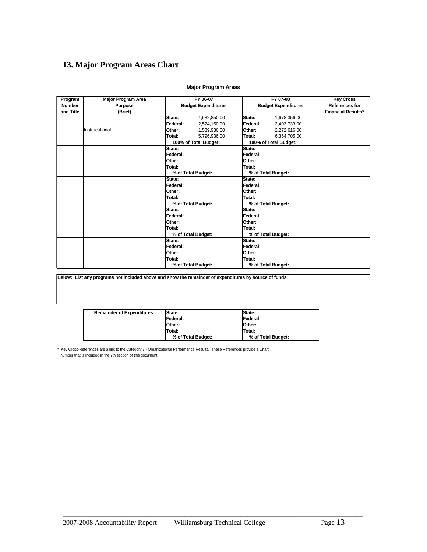#### **13. Major Program Areas Chart**

|                          |                                      |                            | FY 06-07              |          | FY 07-08                   |                                           |
|--------------------------|--------------------------------------|----------------------------|-----------------------|----------|----------------------------|-------------------------------------------|
| Program<br><b>Number</b> | <b>Major Program Area</b><br>Purpose |                            |                       |          | <b>Budget Expenditures</b> | <b>Key Cross</b><br><b>References for</b> |
| and Title                |                                      | <b>Budget Expenditures</b> |                       |          |                            | <b>Financial Results*</b>                 |
|                          | (Brief)                              |                            |                       |          |                            |                                           |
|                          |                                      | State:                     | 1,682,850.00          | State:   | 1,678,356.00               |                                           |
|                          |                                      | Federal:                   | 2,574,150.00          | Federal: | 2,403,733.00               |                                           |
|                          | Instrucational                       | Other:                     | 1,539,936.00          | Other:   | 2,272,616.00               |                                           |
|                          |                                      | Total:                     | 5,796,936.00          | Total:   | 6,354,705.00               |                                           |
|                          |                                      |                            | 100% of Total Budget: |          | 100% of Total Budget:      |                                           |
|                          |                                      | State:                     |                       | State:   |                            |                                           |
|                          |                                      | Federal:                   |                       | Federal: |                            |                                           |
|                          |                                      | Other:                     |                       | Other:   |                            |                                           |
|                          |                                      | Total:                     |                       | Total:   |                            |                                           |
|                          |                                      |                            | % of Total Budget:    |          | % of Total Budget:         |                                           |
|                          |                                      | State:                     |                       | State:   |                            |                                           |
|                          |                                      | Federal:                   |                       | Federal: |                            |                                           |
|                          |                                      | Other:                     |                       | Other:   |                            |                                           |
|                          |                                      | Total:                     |                       | Total:   |                            |                                           |
|                          |                                      |                            | % of Total Budget:    |          | % of Total Budget:         |                                           |
|                          |                                      | State:                     |                       | State:   |                            |                                           |
|                          |                                      | Federal:                   |                       | Federal: |                            |                                           |
|                          |                                      | Other:                     |                       | Other:   |                            |                                           |
|                          |                                      | Total:                     |                       | Total:   |                            |                                           |
|                          |                                      |                            | % of Total Budget:    |          | % of Total Budget:         |                                           |
|                          |                                      | State:                     |                       | State:   |                            |                                           |
|                          |                                      | Federal:                   |                       | Federal: |                            |                                           |
|                          |                                      | Other:                     |                       | Other:   |                            |                                           |
|                          |                                      | Total:                     |                       | Total:   |                            |                                           |
|                          |                                      |                            | % of Total Budget:    |          | % of Total Budget:         |                                           |

#### **Major Program Areas**

**Below: List any programs not included above and show the remainder of expenditures by source of funds.**

| <b>Remainder of Expenditures:</b> | State:             | State:             |
|-----------------------------------|--------------------|--------------------|
|                                   | Federal:           | Federal:           |
|                                   | Other:             | <b>Other:</b>      |
|                                   | Total:             | Total:             |
|                                   | % of Total Budget: | % of Total Budget: |

 $\_$  ,  $\_$  ,  $\_$  ,  $\_$  ,  $\_$  ,  $\_$  ,  $\_$  ,  $\_$  ,  $\_$  ,  $\_$  ,  $\_$  ,  $\_$  ,  $\_$  ,  $\_$  ,  $\_$  ,  $\_$  ,  $\_$  ,  $\_$  ,  $\_$  ,  $\_$  ,  $\_$  ,  $\_$  ,  $\_$  ,  $\_$  ,  $\_$  ,  $\_$  ,  $\_$  ,  $\_$  ,  $\_$  ,  $\_$  ,  $\_$  ,  $\_$  ,  $\_$  ,  $\_$  ,  $\_$  ,  $\_$  ,  $\_$  ,

\* Key Cross-References are a link to the Category 7 - Organizational Performance Results. These References provide a Chart number that is included in the 7th section of this document.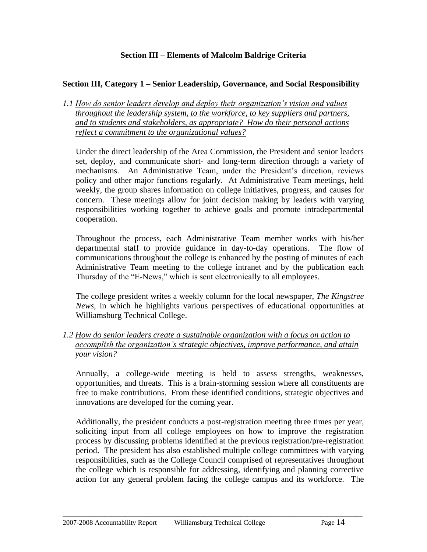#### **Section III – Elements of Malcolm Baldrige Criteria**

#### **Section III, Category 1 – Senior Leadership, Governance, and Social Responsibility**

*1.1 How do senior leaders develop and deploy their organization's vision and values throughout the leadership system, to the workforce, to key suppliers and partners, and to students and stakeholders, as appropriate? How do their personal actions reflect a commitment to the organizational values?*

Under the direct leadership of the Area Commission, the President and senior leaders set, deploy, and communicate short- and long-term direction through a variety of mechanisms. An Administrative Team, under the President's direction, reviews policy and other major functions regularly. At Administrative Team meetings, held weekly, the group shares information on college initiatives, progress, and causes for concern. These meetings allow for joint decision making by leaders with varying responsibilities working together to achieve goals and promote intradepartmental cooperation.

Throughout the process, each Administrative Team member works with his/her departmental staff to provide guidance in day-to-day operations. The flow of communications throughout the college is enhanced by the posting of minutes of each Administrative Team meeting to the college intranet and by the publication each Thursday of the "E-News," which is sent electronically to all employees.

The college president writes a weekly column for the local newspaper, *The Kingstree News,* in which he highlights various perspectives of educational opportunities at Williamsburg Technical College.

*1.2 How do senior leaders create a sustainable organization with a focus on action to accomplish the organization's strategic objectives, improve performance, and attain your vision?*

Annually, a college-wide meeting is held to assess strengths, weaknesses, opportunities, and threats. This is a brain-storming session where all constituents are free to make contributions. From these identified conditions, strategic objectives and innovations are developed for the coming year.

Additionally, the president conducts a post-registration meeting three times per year, soliciting input from all college employees on how to improve the registration process by discussing problems identified at the previous registration/pre-registration period. The president has also established multiple college committees with varying responsibilities, such as the College Council comprised of representatives throughout the college which is responsible for addressing, identifying and planning corrective action for any general problem facing the college campus and its workforce. The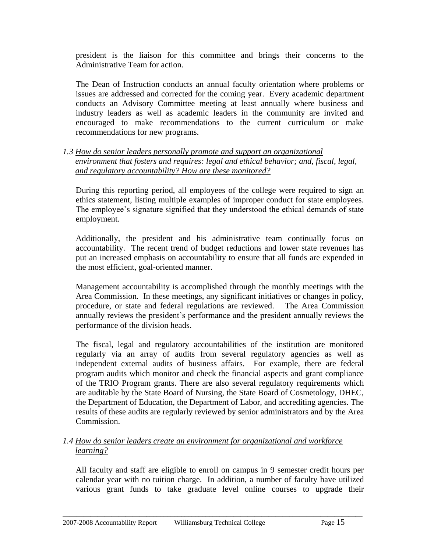president is the liaison for this committee and brings their concerns to the Administrative Team for action.

The Dean of Instruction conducts an annual faculty orientation where problems or issues are addressed and corrected for the coming year. Every academic department conducts an Advisory Committee meeting at least annually where business and industry leaders as well as academic leaders in the community are invited and encouraged to make recommendations to the current curriculum or make recommendations for new programs.

*1.3 How do senior leaders personally promote and support an organizational environment that fosters and requires: legal and ethical behavior; and, fiscal, legal, and regulatory accountability? How are these monitored?*

During this reporting period, all employees of the college were required to sign an ethics statement, listing multiple examples of improper conduct for state employees. The employee's signature signified that they understood the ethical demands of state employment.

Additionally, the president and his administrative team continually focus on accountability. The recent trend of budget reductions and lower state revenues has put an increased emphasis on accountability to ensure that all funds are expended in the most efficient, goal-oriented manner.

Management accountability is accomplished through the monthly meetings with the Area Commission. In these meetings, any significant initiatives or changes in policy, procedure, or state and federal regulations are reviewed. The Area Commission annually reviews the president's performance and the president annually reviews the performance of the division heads.

The fiscal, legal and regulatory accountabilities of the institution are monitored regularly via an array of audits from several regulatory agencies as well as independent external audits of business affairs. For example, there are federal program audits which monitor and check the financial aspects and grant compliance of the TRIO Program grants. There are also several regulatory requirements which are auditable by the State Board of Nursing, the State Board of Cosmetology, DHEC, the Department of Education, the Department of Labor, and accrediting agencies. The results of these audits are regularly reviewed by senior administrators and by the Area Commission.

#### *1.4 How do senior leaders create an environment for organizational and workforce learning?*

All faculty and staff are eligible to enroll on campus in 9 semester credit hours per calendar year with no tuition charge. In addition, a number of faculty have utilized various grant funds to take graduate level online courses to upgrade their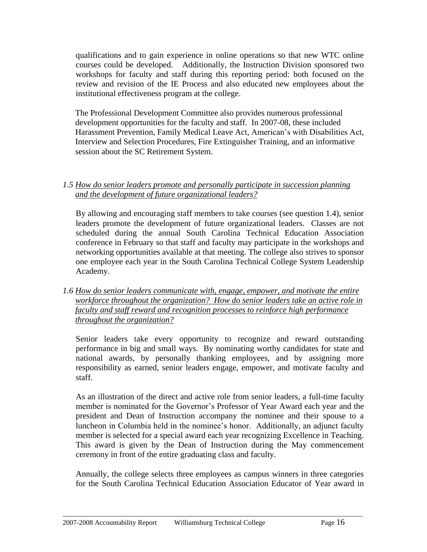qualifications and to gain experience in online operations so that new WTC online courses could be developed. Additionally, the Instruction Division sponsored two workshops for faculty and staff during this reporting period: both focused on the review and revision of the IE Process and also educated new employees about the institutional effectiveness program at the college.

The Professional Development Committee also provides numerous professional development opportunities for the faculty and staff. In 2007-08, these included Harassment Prevention, Family Medical Leave Act, American's with Disabilities Act, Interview and Selection Procedures, Fire Extinguisher Training, and an informative session about the SC Retirement System.

#### *1.5 How do senior leaders promote and personally participate in succession planning and the development of future organizational leaders?*

By allowing and encouraging staff members to take courses (see question 1.4), senior leaders promote the development of future organizational leaders. Classes are not scheduled during the annual South Carolina Technical Education Association conference in February so that staff and faculty may participate in the workshops and networking opportunities available at that meeting. The college also strives to sponsor one employee each year in the South Carolina Technical College System Leadership Academy.

*1.6 How do senior leaders communicate with, engage, empower, and motivate the entire workforce throughout the organization? How do senior leaders take an active role in faculty and staff reward and recognition processes to reinforce high performance throughout the organization?*

Senior leaders take every opportunity to recognize and reward outstanding performance in big and small ways. By nominating worthy candidates for state and national awards, by personally thanking employees, and by assigning more responsibility as earned, senior leaders engage, empower, and motivate faculty and staff.

As an illustration of the direct and active role from senior leaders, a full-time faculty member is nominated for the Governor's Professor of Year Award each year and the president and Dean of Instruction accompany the nominee and their spouse to a luncheon in Columbia held in the nominee's honor. Additionally, an adjunct faculty member is selected for a special award each year recognizing Excellence in Teaching. This award is given by the Dean of Instruction during the May commencement ceremony in front of the entire graduating class and faculty.

Annually, the college selects three employees as campus winners in three categories for the South Carolina Technical Education Association Educator of Year award in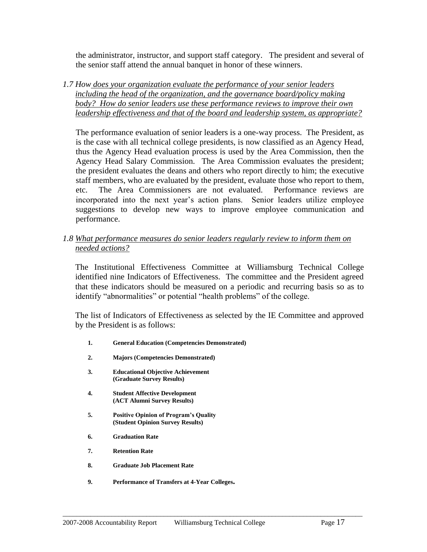the administrator, instructor, and support staff category. The president and several of the senior staff attend the annual banquet in honor of these winners.

*1.7 How does your organization evaluate the performance of your senior leaders including the head of the organization, and the governance board/policy making body? How do senior leaders use these performance reviews to improve their own leadership effectiveness and that of the board and leadership system, as appropriate?*

The performance evaluation of senior leaders is a one-way process. The President, as is the case with all technical college presidents, is now classified as an Agency Head, thus the Agency Head evaluation process is used by the Area Commission, then the Agency Head Salary Commission. The Area Commission evaluates the president; the president evaluates the deans and others who report directly to him; the executive staff members, who are evaluated by the president, evaluate those who report to them, etc. The Area Commissioners are not evaluated. Performance reviews are incorporated into the next year's action plans. Senior leaders utilize employee suggestions to develop new ways to improve employee communication and performance.

*1.8 What performance measures do senior leaders regularly review to inform them on needed actions?*

The Institutional Effectiveness Committee at Williamsburg Technical College identified nine Indicators of Effectiveness. The committee and the President agreed that these indicators should be measured on a periodic and recurring basis so as to identify "abnormalities" or potential "health problems" of the college.

The list of Indicators of Effectiveness as selected by the IE Committee and approved by the President is as follows:

- **1. General Education (Competencies Demonstrated)**
- **2. Majors (Competencies Demonstrated)**
- **3. Educational Objective Achievement (Graduate Survey Results)**
- **4. Student Affective Development (ACT Alumni Survey Results)**
- **5. Positive Opinion of Program's Quality (Student Opinion Survey Results)**
- **6. Graduation Rate**
- **7. Retention Rate**
- **8. Graduate Job Placement Rate**
- **9. Performance of Transfers at 4-Year Colleges.**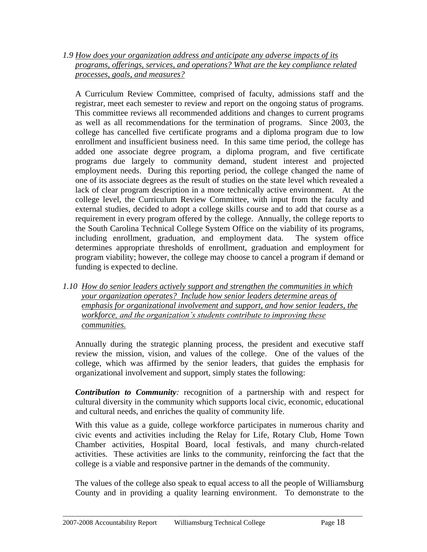*1.9 How does your organization address and anticipate any adverse impacts of its programs, offerings, services, and operations? What are the key compliance related processes, goals, and measures?*

A Curriculum Review Committee, comprised of faculty, admissions staff and the registrar, meet each semester to review and report on the ongoing status of programs. This committee reviews all recommended additions and changes to current programs as well as all recommendations for the termination of programs. Since 2003, the college has cancelled five certificate programs and a diploma program due to low enrollment and insufficient business need. In this same time period, the college has added one associate degree program, a diploma program, and five certificate programs due largely to community demand, student interest and projected employment needs. During this reporting period, the college changed the name of one of its associate degrees as the result of studies on the state level which revealed a lack of clear program description in a more technically active environment. At the college level, the Curriculum Review Committee, with input from the faculty and external studies, decided to adopt a college skills course and to add that course as a requirement in every program offered by the college. Annually, the college reports to the South Carolina Technical College System Office on the viability of its programs, including enrollment, graduation, and employment data. The system office determines appropriate thresholds of enrollment, graduation and employment for program viability; however, the college may choose to cancel a program if demand or funding is expected to decline.

*1.10 How do senior leaders actively support and strengthen the communities in which your organization operates? Include how senior leaders determine areas of emphasis for organizational involvement and support, and how senior leaders, the workforce, and the organization's students contribute to improving these communities.* 

Annually during the strategic planning process, the president and executive staff review the mission, vision, and values of the college. One of the values of the college, which was affirmed by the senior leaders, that guides the emphasis for organizational involvement and support, simply states the following:

*Contribution to Community:* recognition of a partnership with and respect for cultural diversity in the community which supports local civic, economic, educational and cultural needs, and enriches the quality of community life.

With this value as a guide, college workforce participates in numerous charity and civic events and activities including the Relay for Life, Rotary Club, Home Town Chamber activities, Hospital Board, local festivals, and many church-related activities. These activities are links to the community, reinforcing the fact that the college is a viable and responsive partner in the demands of the community.

The values of the college also speak to equal access to all the people of Williamsburg County and in providing a quality learning environment. To demonstrate to the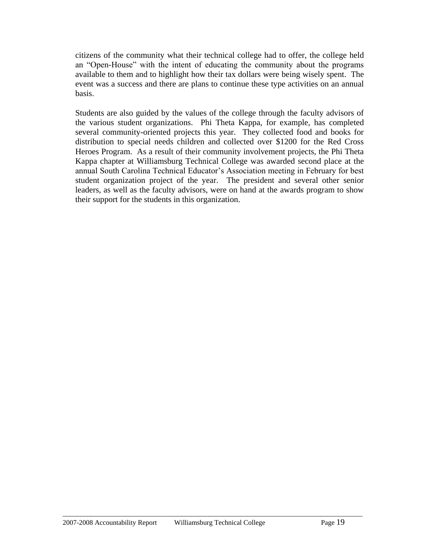citizens of the community what their technical college had to offer, the college held an "Open-House" with the intent of educating the community about the programs available to them and to highlight how their tax dollars were being wisely spent. The event was a success and there are plans to continue these type activities on an annual basis.

Students are also guided by the values of the college through the faculty advisors of the various student organizations. Phi Theta Kappa, for example, has completed several community-oriented projects this year. They collected food and books for distribution to special needs children and collected over \$1200 for the Red Cross Heroes Program. As a result of their community involvement projects, the Phi Theta Kappa chapter at Williamsburg Technical College was awarded second place at the annual South Carolina Technical Educator's Association meeting in February for best student organization project of the year. The president and several other senior leaders, as well as the faculty advisors, were on hand at the awards program to show their support for the students in this organization.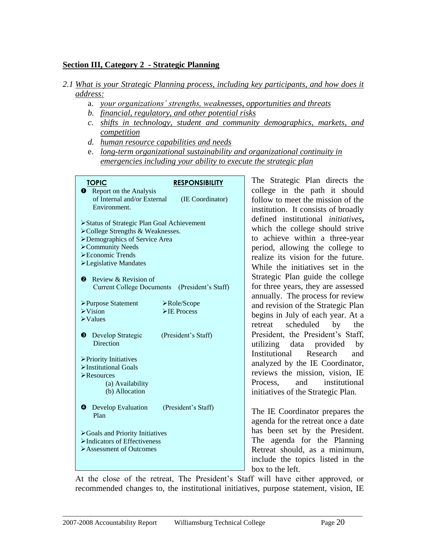#### **Section III, Category 2 - Strategic Planning**

#### *2.1 What is your Strategic Planning process, including key participants, and how does it address:*

- a. *your organizations' strengths, weaknesses, opportunities and threats*
- *b. financial, regulatory, and other potential risks*
- *c. shifts in technology, student and community demographics, markets, and competition*
- *d. human resource capabilities and needs*
- e. *long-term organizational sustainability and organizational continuity in emergencies including your ability to execute the strategic plan*

| <b>TOPIC</b><br><b>RESPONSIBILITY</b>                                          | The                        |
|--------------------------------------------------------------------------------|----------------------------|
| <b>Q</b> Report on the Analysis                                                | colleg                     |
| of Internal and/or External                                                    | (IE Coordinator)<br>folloy |
| Environment.                                                                   | institu                    |
|                                                                                | define                     |
| >Status of Strategic Plan Goal Achievement<br>>College Strengths & Weaknesses. | which                      |
| >Demographics of Service Area                                                  | to ac                      |
| >Community Needs                                                               | perio                      |
| Economic Trends                                                                | realiz                     |
| >Legislative Mandates                                                          | While                      |
|                                                                                | Strate                     |
| Review & Revision of<br>❷                                                      | for th                     |
| <b>Current College Documents</b>                                               | (President's Staff)        |
| >Purpose Statement<br>>Role/Scope                                              | annua                      |
| $\triangleright$ Vision<br>$\triangleright$ IE Process                         | and r                      |
| $\triangleright$ Values                                                        | begin                      |
|                                                                                | retrea                     |
| (President's Staff)<br>❸<br>Develop Strategic                                  | Presio                     |
| Direction                                                                      | utilizi                    |
| > Priority Initiatives                                                         | Institu                    |
| >Institutional Goals                                                           | analy                      |
| $\triangleright$ Resources                                                     | reviey                     |
| (a) Availability                                                               | Proce                      |
| (b) Allocation                                                                 | initiat                    |
|                                                                                |                            |
| ❹<br>Develop Evaluation<br>(President's Staff)<br>Plan                         | The I                      |
|                                                                                | agend                      |
| >Goals and Priority Initiatives                                                | has b                      |
| $\blacktriangleright$ Indicators of Effectiveness                              | The                        |
| $\triangleright$ Assessment of Outcomes                                        | Retre                      |
|                                                                                | includ                     |
|                                                                                | box to                     |
|                                                                                |                            |

Strategic Plan directs the ge in the path it should  $w$  to meet the mission of the ution. It consists of broadly defined institutional *initiatives***,**  h the college should strive chieve within a three-year d, allowing the college to re its vision for the future. e the initiatives set in the egic Plan guide the college ree years, they are assessed ally. The process for review evision of the Strategic Plan is in July of each year. At a t scheduled by the dent, the President's Staff, ing data provided by utional Research and zed by the IE Coordinator, ws the mission, vision, IE ss, and institutional tives of the Strategic Plan.

IE Coordinator prepares the la for the retreat once a date been set by the President. agenda for the Planning at should, as a minimum, de the topics listed in the o the left.

At the close of the retreat, The President's Staff will have either approved, or recommended changes to, the institutional initiatives, purpose statement, vision, IE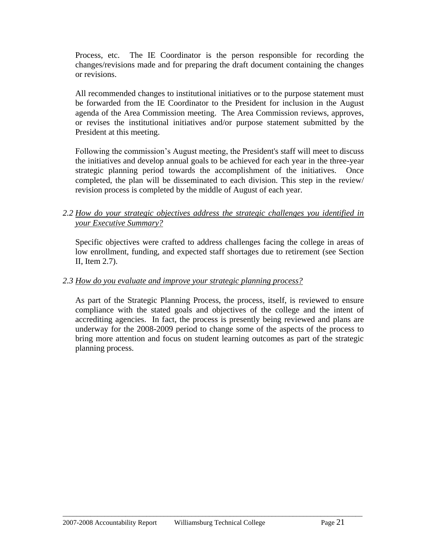Process, etc. The IE Coordinator is the person responsible for recording the changes/revisions made and for preparing the draft document containing the changes or revisions.

All recommended changes to institutional initiatives or to the purpose statement must be forwarded from the IE Coordinator to the President for inclusion in the August agenda of the Area Commission meeting. The Area Commission reviews, approves, or revises the institutional initiatives and/or purpose statement submitted by the President at this meeting.

Following the commission's August meeting, the President's staff will meet to discuss the initiatives and develop annual goals to be achieved for each year in the three-year strategic planning period towards the accomplishment of the initiatives. Once completed, the plan will be disseminated to each division. This step in the review/ revision process is completed by the middle of August of each year.

#### *2.2 How do your strategic objectives address the strategic challenges you identified in your Executive Summary?*

Specific objectives were crafted to address challenges facing the college in areas of low enrollment, funding, and expected staff shortages due to retirement (see Section II, Item 2.7).

#### *2.3 How do you evaluate and improve your strategic planning process?*

As part of the Strategic Planning Process, the process, itself, is reviewed to ensure compliance with the stated goals and objectives of the college and the intent of accrediting agencies. In fact, the process is presently being reviewed and plans are underway for the 2008-2009 period to change some of the aspects of the process to bring more attention and focus on student learning outcomes as part of the strategic planning process.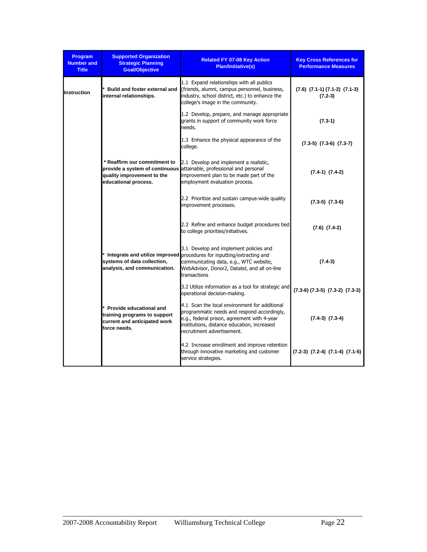| <b>Program</b><br><b>Number and</b><br><b>Title</b> | <b>Supported Organization</b><br><b>Strategic Planning</b><br><b>Goal/Objective</b>                       | <b>Related FY 07-08 Key Action</b><br><b>Plan/Initiative(s)</b>                                                                                                                                                              | <b>Key Cross References for</b><br><b>Performance Measures</b> |
|-----------------------------------------------------|-----------------------------------------------------------------------------------------------------------|------------------------------------------------------------------------------------------------------------------------------------------------------------------------------------------------------------------------------|----------------------------------------------------------------|
| <b>Instruction</b>                                  | Build and foster external and<br>internal relationships.                                                  | 1.1 Expand relationships with all publics<br>(friends, alumni, campus personnel, business,<br>industry, school district, etc.) to enhance the<br>college's image in the community.                                           | $(7.6)$ $(7.1-1)$ $(7.1-2)$ $(7.1-3)$<br>$(7.2-3)$             |
|                                                     |                                                                                                           | 1.2 Develop, prepare, and manage appropriate<br>grants in support of community work force<br>needs.                                                                                                                          | $(7.3-1)$                                                      |
|                                                     |                                                                                                           | 1.3 Enhance the physical appearance of the<br>college.                                                                                                                                                                       | $(7.3-5)$ $(7.3-6)$ $(7.3-7)$                                  |
|                                                     | * Reaffirm our commitment to<br>quality improvement to the<br>educational process.                        | 2.1 Develop and implement a realistic,<br>provide a system of continuous attainable, professional and personal<br>improvement plan to be made part of the<br>employment evaluation process.                                  | $(7.4-1)$ $(7.4-2)$                                            |
|                                                     |                                                                                                           | 2.2 Prioritize and sustain campus-wide quality<br>improvement processes.                                                                                                                                                     | $(7.3-5)$ $(7.3-6)$                                            |
|                                                     |                                                                                                           | 2.3 Refine and enhance budget procedures tied<br>to college priorities/initiatives.                                                                                                                                          | $(7.6)$ $(7.4-2)$                                              |
|                                                     | systems of data collection,<br>analysis, and communication.                                               | 3.1 Develop and implement policies and<br>* Integrate and utilize improved procedures for inputting/extracting and<br>communicating data, e.g., WTC website,<br>WebAdvisor, Donor2, Datatel, and all on-line<br>transactions | $(7.4-3)$                                                      |
|                                                     |                                                                                                           | 3.2 Utilize information as a tool for strategic and<br>operational decision-making.                                                                                                                                          | $(7.3-6)$ $(7.3-5)$ $(7.3-2)$ $(7.3-3)$                        |
|                                                     | * Provide educational and<br>training programs to support<br>current and anticipated work<br>force needs. | 4.1 Scan the local environment for additional<br>programmatic needs and respond accordingly,<br>e.g., federal prison, agreement with 4-year<br>institutions, distance education, increased<br>recruitment advertisement.     | $(7.4-3)$ $(7.3-4)$                                            |
|                                                     |                                                                                                           | 4.2 Increase enrollment and improve retention<br>through innovative marketing and customer<br>service strategies.                                                                                                            | $(7.2-3)$ $(7.2-4)$ $(7.1-4)$ $(7.1-5)$                        |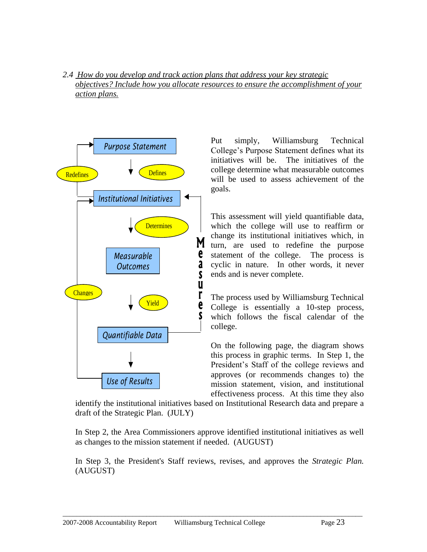*2.4 How do you develop and track action plans that address your key strategic objectives? Include how you allocate resources to ensure the accomplishment of your action plans.*



Put simply, Williamsburg Technical College's Purpose Statement defines what its initiatives will be. The initiatives of the college determine what measurable outcomes will be used to assess achievement of the goals.

This assessment will yield quantifiable data, which the college will use to reaffirm or change its institutional initiatives which, in turn, are used to redefine the purpose statement of the college. The process is cyclic in nature. In other words, it never ends and is never complete.

The process used by Williamsburg Technical College is essentially a 10-step process, which follows the fiscal calendar of the college.

On the following page, the diagram shows this process in graphic terms. In Step 1, the President's Staff of the college reviews and approves (or recommends changes to) the mission statement, vision, and institutional effectiveness process. At this time they also

identify the institutional initiatives based on Institutional Research data and prepare a draft of the Strategic Plan. (JULY)

In Step 2, the Area Commissioners approve identified institutional initiatives as well as changes to the mission statement if needed. (AUGUST)

In Step 3, the President's Staff reviews, revises, and approves the *Strategic Plan.* (AUGUST)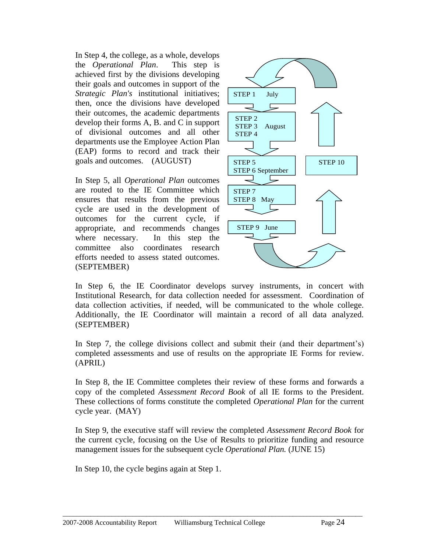In Step 4, the college, as a whole, develops the *Operational Plan*. This step is achieved first by the divisions developing their goals and outcomes in support of the *Strategic Plan's* institutional initiatives; then, once the divisions have developed their outcomes, the academic departments develop their forms A, B. and C in support of divisional outcomes and all other departments use the Employee Action Plan (EAP) forms to record and track their goals and outcomes. (AUGUST)

In Step 5, all *Operational Plan* outcomes are routed to the IE Committee which ensures that results from the previous cycle are used in the development of outcomes for the current cycle, if appropriate, and recommends changes where necessary. In this step the committee also coordinates research efforts needed to assess stated outcomes. (SEPTEMBER)



In Step 6, the IE Coordinator develops survey instruments, in concert with Institutional Research, for data collection needed for assessment. Coordination of data collection activities, if needed, will be communicated to the whole college. Additionally, the IE Coordinator will maintain a record of all data analyzed. (SEPTEMBER)

In Step 7, the college divisions collect and submit their (and their department's) completed assessments and use of results on the appropriate IE Forms for review. (APRIL)

In Step 8, the IE Committee completes their review of these forms and forwards a copy of the completed *Assessment Record Book* of all IE forms to the President. These collections of forms constitute the completed *Operational Plan* for the current cycle year. (MAY)

In Step 9, the executive staff will review the completed *Assessment Record Book* for the current cycle, focusing on the Use of Results to prioritize funding and resource management issues for the subsequent cycle *Operational Plan.* (JUNE 15)

 $\_$  ,  $\_$  ,  $\_$  ,  $\_$  ,  $\_$  ,  $\_$  ,  $\_$  ,  $\_$  ,  $\_$  ,  $\_$  ,  $\_$  ,  $\_$  ,  $\_$  ,  $\_$  ,  $\_$  ,  $\_$  ,  $\_$  ,  $\_$  ,  $\_$  ,  $\_$  ,  $\_$  ,  $\_$  ,  $\_$  ,  $\_$  ,  $\_$  ,  $\_$  ,  $\_$  ,  $\_$  ,  $\_$  ,  $\_$  ,  $\_$  ,  $\_$  ,  $\_$  ,  $\_$  ,  $\_$  ,  $\_$  ,  $\_$  ,

In Step 10, the cycle begins again at Step 1.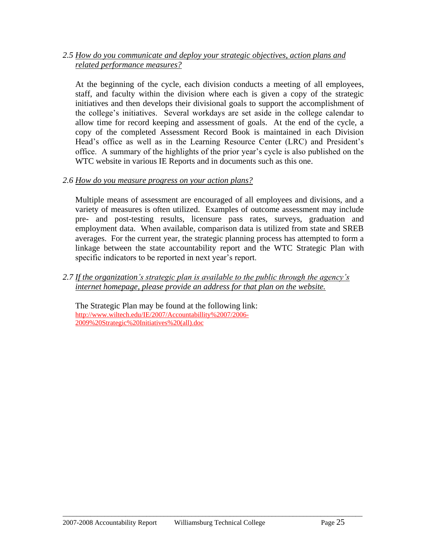#### *2.5 How do you communicate and deploy your strategic objectives, action plans and related performance measures?*

At the beginning of the cycle, each division conducts a meeting of all employees, staff, and faculty within the division where each is given a copy of the strategic initiatives and then develops their divisional goals to support the accomplishment of the college's initiatives. Several workdays are set aside in the college calendar to allow time for record keeping and assessment of goals. At the end of the cycle, a copy of the completed Assessment Record Book is maintained in each Division Head's office as well as in the Learning Resource Center (LRC) and President's office. A summary of the highlights of the prior year's cycle is also published on the WTC website in various IE Reports and in documents such as this one.

#### *2.6 How do you measure progress on your action plans?*

Multiple means of assessment are encouraged of all employees and divisions, and a variety of measures is often utilized. Examples of outcome assessment may include pre- and post-testing results, licensure pass rates, surveys, graduation and employment data. When available, comparison data is utilized from state and SREB averages. For the current year, the strategic planning process has attempted to form a linkage between the state accountability report and the WTC Strategic Plan with specific indicators to be reported in next year's report.

*2.7 If the organization's strategic plan is available to the public through the agency's internet homepage, please provide an address for that plan on the website.*

The Strategic Plan may be found at the following link: [http://www.wiltech.edu/IE/2007/Accountabillity%2007/2006-](http://www.wiltech.edu/IE/2007/Accountabillity%2007/2006-2009%20Strategic%20Initiatives%20(all).doc) [2009%20Strategic%20Initiatives%20\(all\).doc](http://www.wiltech.edu/IE/2007/Accountabillity%2007/2006-2009%20Strategic%20Initiatives%20(all).doc)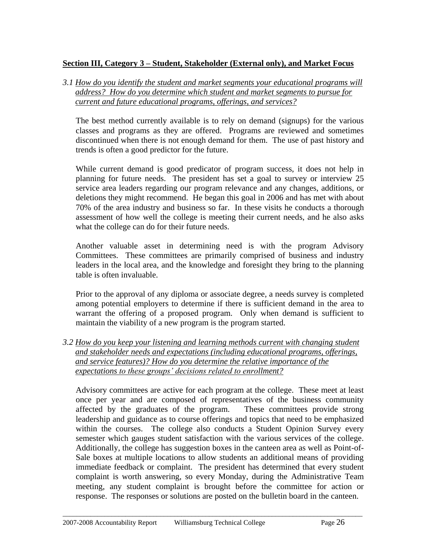#### **Section III, Category 3 – Student, Stakeholder (External only), and Market Focus**

*3.1 How do you identify the student and market segments your educational programs will address? How do you determine which student and market segments to pursue for current and future educational programs, offerings, and services?*

The best method currently available is to rely on demand (signups) for the various classes and programs as they are offered. Programs are reviewed and sometimes discontinued when there is not enough demand for them. The use of past history and trends is often a good predictor for the future.

While current demand is good predicator of program success, it does not help in planning for future needs. The president has set a goal to survey or interview 25 service area leaders regarding our program relevance and any changes, additions, or deletions they might recommend. He began this goal in 2006 and has met with about 70% of the area industry and business so far. In these visits he conducts a thorough assessment of how well the college is meeting their current needs, and he also asks what the college can do for their future needs.

Another valuable asset in determining need is with the program Advisory Committees. These committees are primarily comprised of business and industry leaders in the local area, and the knowledge and foresight they bring to the planning table is often invaluable.

Prior to the approval of any diploma or associate degree, a needs survey is completed among potential employers to determine if there is sufficient demand in the area to warrant the offering of a proposed program. Only when demand is sufficient to maintain the viability of a new program is the program started.

*3.2 How do you keep your listening and learning methods current with changing student and stakeholder needs and expectations (including educational programs, offerings, and service features)? How do you determine the relative importance of the expectations to these groups' decisions related to enrollment?*

Advisory committees are active for each program at the college. These meet at least once per year and are composed of representatives of the business community affected by the graduates of the program. These committees provide strong leadership and guidance as to course offerings and topics that need to be emphasized within the courses. The college also conducts a Student Opinion Survey every semester which gauges student satisfaction with the various services of the college. Additionally, the college has suggestion boxes in the canteen area as well as Point-of-Sale boxes at multiple locations to allow students an additional means of providing immediate feedback or complaint. The president has determined that every student complaint is worth answering, so every Monday, during the Administrative Team meeting, any student complaint is brought before the committee for action or response. The responses or solutions are posted on the bulletin board in the canteen.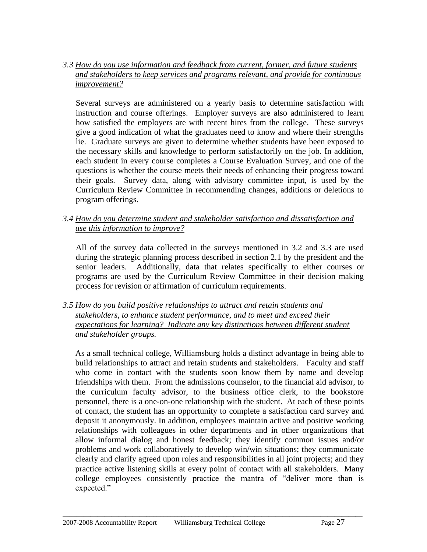#### *3.3 How do you use information and feedback from current, former, and future students and stakeholders to keep services and programs relevant, and provide for continuous improvement?*

Several surveys are administered on a yearly basis to determine satisfaction with instruction and course offerings. Employer surveys are also administered to learn how satisfied the employers are with recent hires from the college. These surveys give a good indication of what the graduates need to know and where their strengths lie. Graduate surveys are given to determine whether students have been exposed to the necessary skills and knowledge to perform satisfactorily on the job. In addition, each student in every course completes a Course Evaluation Survey, and one of the questions is whether the course meets their needs of enhancing their progress toward their goals. Survey data, along with advisory committee input, is used by the Curriculum Review Committee in recommending changes, additions or deletions to program offerings.

#### *3.4 How do you determine student and stakeholder satisfaction and dissatisfaction and use this information to improve?*

All of the survey data collected in the surveys mentioned in 3.2 and 3.3 are used during the strategic planning process described in section 2.1 by the president and the senior leaders. Additionally, data that relates specifically to either courses or programs are used by the Curriculum Review Committee in their decision making process for revision or affirmation of curriculum requirements.

#### *3.5 How do you build positive relationships to attract and retain students and stakeholders, to enhance student performance, and to meet and exceed their expectations for learning? Indicate any key distinctions between different student and stakeholder groups.*

As a small technical college, Williamsburg holds a distinct advantage in being able to build relationships to attract and retain students and stakeholders. Faculty and staff who come in contact with the students soon know them by name and develop friendships with them. From the admissions counselor, to the financial aid advisor, to the curriculum faculty advisor, to the business office clerk, to the bookstore personnel, there is a one-on-one relationship with the student. At each of these points of contact, the student has an opportunity to complete a satisfaction card survey and deposit it anonymously. In addition, employees maintain active and positive working relationships with colleagues in other departments and in other organizations that allow informal dialog and honest feedback; they identify common issues and/or problems and work collaboratively to develop win/win situations; they communicate clearly and clarify agreed upon roles and responsibilities in all joint projects; and they practice active listening skills at every point of contact with all stakeholders. Many college employees consistently practice the mantra of "deliver more than is expected."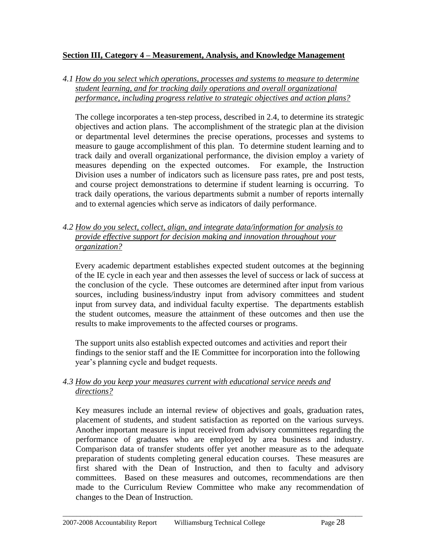#### **Section III, Category 4 – Measurement, Analysis, and Knowledge Management**

*4.1 How do you select which operations, processes and systems to measure to determine student learning, and for tracking daily operations and overall organizational performance, including progress relative to strategic objectives and action plans?* 

The college incorporates a ten-step process, described in 2.4, to determine its strategic objectives and action plans. The accomplishment of the strategic plan at the division or departmental level determines the precise operations, processes and systems to measure to gauge accomplishment of this plan. To determine student learning and to track daily and overall organizational performance, the division employ a variety of measures depending on the expected outcomes. For example, the Instruction Division uses a number of indicators such as licensure pass rates, pre and post tests, and course project demonstrations to determine if student learning is occurring. To track daily operations, the various departments submit a number of reports internally and to external agencies which serve as indicators of daily performance.

*4.2 How do you select, collect, align, and integrate data/information for analysis to provide effective support for decision making and innovation throughout your organization?*

Every academic department establishes expected student outcomes at the beginning of the IE cycle in each year and then assesses the level of success or lack of success at the conclusion of the cycle. These outcomes are determined after input from various sources, including business/industry input from advisory committees and student input from survey data, and individual faculty expertise. The departments establish the student outcomes, measure the attainment of these outcomes and then use the results to make improvements to the affected courses or programs.

The support units also establish expected outcomes and activities and report their findings to the senior staff and the IE Committee for incorporation into the following year's planning cycle and budget requests.

#### *4.3 How do you keep your measures current with educational service needs and directions?*

Key measures include an internal review of objectives and goals, graduation rates, placement of students, and student satisfaction as reported on the various surveys. Another important measure is input received from advisory committees regarding the performance of graduates who are employed by area business and industry. Comparison data of transfer students offer yet another measure as to the adequate preparation of students completing general education courses. These measures are first shared with the Dean of Instruction, and then to faculty and advisory committees. Based on these measures and outcomes, recommendations are then made to the Curriculum Review Committee who make any recommendation of changes to the Dean of Instruction.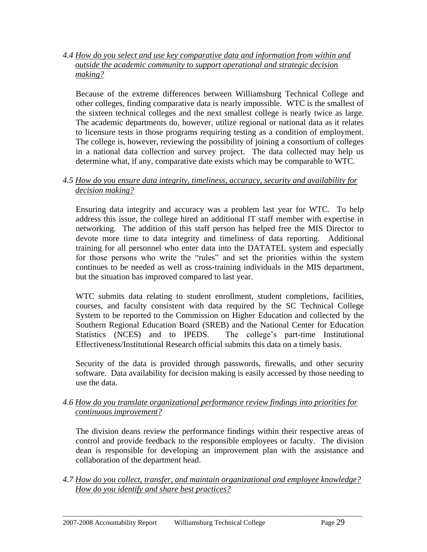*4.4 How do you select and use key comparative data and information from within and outside the academic community to support operational and strategic decision making?*

Because of the extreme differences between Williamsburg Technical College and other colleges, finding comparative data is nearly impossible. WTC is the smallest of the sixteen technical colleges and the next smallest college is nearly twice as large. The academic departments do, however, utilize regional or national data as it relates to licensure tests in those programs requiring testing as a condition of employment. The college is, however, reviewing the possibility of joining a consortium of colleges in a national data collection and survey project. The data collected may help us determine what, if any, comparative date exists which may be comparable to WTC.

#### *4.5 How do you ensure data integrity, timeliness, accuracy, security and availability for decision making?*

Ensuring data integrity and accuracy was a problem last year for WTC. To help address this issue, the college hired an additional IT staff member with expertise in networking. The addition of this staff person has helped free the MIS Director to devote more time to data integrity and timeliness of data reporting. Additional training for all personnel who enter data into the DATATEL system and especially for those persons who write the "rules" and set the priorities within the system continues to be needed as well as cross-training individuals in the MIS department, but the situation has improved compared to last year.

WTC submits data relating to student enrollment, student completions, facilities, courses, and faculty consistent with data required by the SC Technical College System to be reported to the Commission on Higher Education and collected by the Southern Regional Education Board (SREB) and the National Center for Education Statistics (NCES) and to IPEDS. The college's part-time Institutional Effectiveness/Institutional Research official submits this data on a timely basis.

Security of the data is provided through passwords, firewalls, and other security software. Data availability for decision making is easily accessed by those needing to use the data.

*4.6 How do you translate organizational performance review findings into priorities for continuous improvement?*

The division deans review the performance findings within their respective areas of control and provide feedback to the responsible employees or faculty. The division dean is responsible for developing an improvement plan with the assistance and collaboration of the department head.

*4.7 How do you collect, transfer, and maintain organizational and employee knowledge? How do you identify and share best practices?*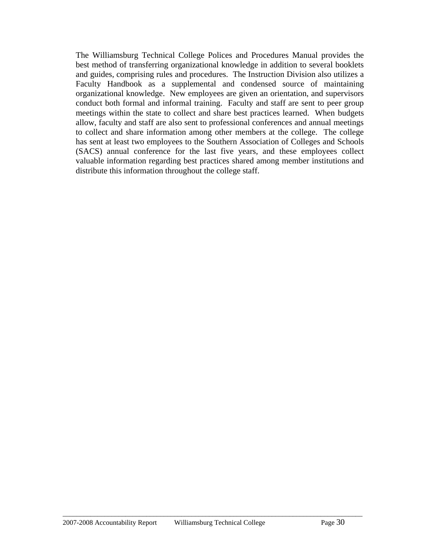The Williamsburg Technical College Polices and Procedures Manual provides the best method of transferring organizational knowledge in addition to several booklets and guides, comprising rules and procedures. The Instruction Division also utilizes a Faculty Handbook as a supplemental and condensed source of maintaining organizational knowledge. New employees are given an orientation, and supervisors conduct both formal and informal training. Faculty and staff are sent to peer group meetings within the state to collect and share best practices learned. When budgets allow, faculty and staff are also sent to professional conferences and annual meetings to collect and share information among other members at the college. The college has sent at least two employees to the Southern Association of Colleges and Schools (SACS) annual conference for the last five years, and these employees collect valuable information regarding best practices shared among member institutions and distribute this information throughout the college staff.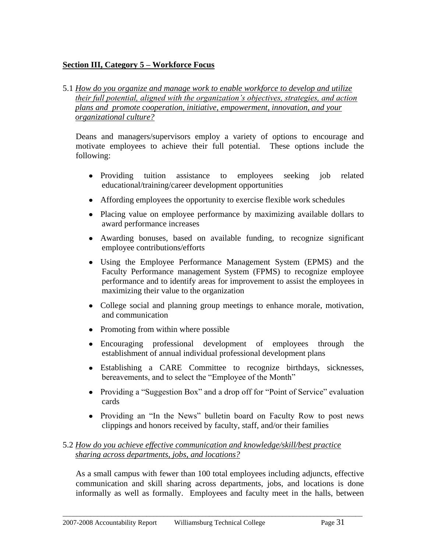### **Section III, Category 5 – Workforce Focus**

#### 5.1 *How do you organize and manage work to enable workforce to develop and utilize their full potential, aligned with the organization's objectives, strategies, and action plans and promote cooperation, initiative, empowerment, innovation, and your organizational culture?*

Deans and managers/supervisors employ a variety of options to encourage and motivate employees to achieve their full potential. These options include the following:

- Providing tuition assistance to employees seeking job related educational/training/career development opportunities
- Affording employees the opportunity to exercise flexible work schedules
- Placing value on employee performance by maximizing available dollars to award performance increases
- Awarding bonuses, based on available funding, to recognize significant employee contributions/efforts
- Using the Employee Performance Management System (EPMS) and the Faculty Performance management System (FPMS) to recognize employee performance and to identify areas for improvement to assist the employees in maximizing their value to the organization
- College social and planning group meetings to enhance morale, motivation, and communication
- Promoting from within where possible
- Encouraging professional development of employees through the establishment of annual individual professional development plans
- Establishing a CARE Committee to recognize birthdays, sicknesses, bereavements, and to select the "Employee of the Month"
- Providing a "Suggestion Box" and a drop off for "Point of Service" evaluation cards
- Providing an "In the News" bulletin board on Faculty Row to post news clippings and honors received by faculty, staff, and/or their families

#### 5.2 *How do you achieve effective communication and knowledge/skill/best practice sharing across departments, jobs, and locations?*

As a small campus with fewer than 100 total employees including adjuncts, effective communication and skill sharing across departments, jobs, and locations is done informally as well as formally. Employees and faculty meet in the halls, between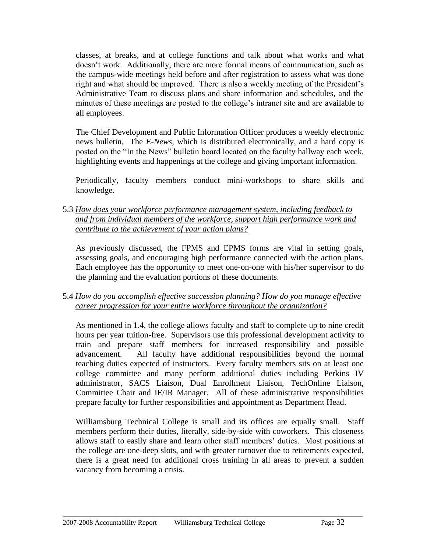classes, at breaks, and at college functions and talk about what works and what doesn't work. Additionally, there are more formal means of communication, such as the campus-wide meetings held before and after registration to assess what was done right and what should be improved. There is also a weekly meeting of the President's Administrative Team to discuss plans and share information and schedules, and the minutes of these meetings are posted to the college's intranet site and are available to all employees.

The Chief Development and Public Information Officer produces a weekly electronic news bulletin, The *E-News,* which is distributed electronically, and a hard copy is posted on the "In the News" bulletin board located on the faculty hallway each week, highlighting events and happenings at the college and giving important information.

Periodically, faculty members conduct mini-workshops to share skills and knowledge.

5.3 *How does your workforce performance management system, including feedback to and from individual members of the workforce, support high performance work and contribute to the achievement of your action plans?*

As previously discussed, the FPMS and EPMS forms are vital in setting goals, assessing goals, and encouraging high performance connected with the action plans. Each employee has the opportunity to meet one-on-one with his/her supervisor to do the planning and the evaluation portions of these documents.

#### 5.4 *How do you accomplish effective succession planning? How do you manage effective career progression for your entire workforce throughout the organization?*

As mentioned in 1.4, the college allows faculty and staff to complete up to nine credit hours per year tuition-free. Supervisors use this professional development activity to train and prepare staff members for increased responsibility and possible advancement. All faculty have additional responsibilities beyond the normal teaching duties expected of instructors. Every faculty members sits on at least one college committee and many perform additional duties including Perkins IV administrator, SACS Liaison, Dual Enrollment Liaison, TechOnline Liaison, Committee Chair and IE/IR Manager. All of these administrative responsibilities prepare faculty for further responsibilities and appointment as Department Head.

Williamsburg Technical College is small and its offices are equally small. Staff members perform their duties, literally, side-by-side with coworkers. This closeness allows staff to easily share and learn other staff members' duties. Most positions at the college are one-deep slots, and with greater turnover due to retirements expected, there is a great need for additional cross training in all areas to prevent a sudden vacancy from becoming a crisis.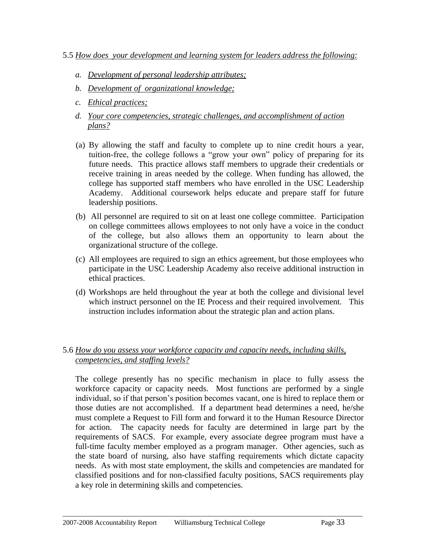#### 5.5 *How does your development and learning system for leaders address the following:*

- *a. Development of personal leadership attributes;*
- *b. Development of organizational knowledge;*
- *c. Ethical practices;*
- *d. Your core competencies, strategic challenges, and accomplishment of action plans?*
- (a) By allowing the staff and faculty to complete up to nine credit hours a year, tuition-free, the college follows a "grow your own" policy of preparing for its future needs. This practice allows staff members to upgrade their credentials or receive training in areas needed by the college. When funding has allowed, the college has supported staff members who have enrolled in the USC Leadership Academy. Additional coursework helps educate and prepare staff for future leadership positions.
- (b) All personnel are required to sit on at least one college committee. Participation on college committees allows employees to not only have a voice in the conduct of the college, but also allows them an opportunity to learn about the organizational structure of the college.
- (c) All employees are required to sign an ethics agreement, but those employees who participate in the USC Leadership Academy also receive additional instruction in ethical practices.
- (d) Workshops are held throughout the year at both the college and divisional level which instruct personnel on the IE Process and their required involvement. This instruction includes information about the strategic plan and action plans.

## 5.6 *How do you assess your workforce capacity and capacity needs, including skills, competencies, and staffing levels?*

The college presently has no specific mechanism in place to fully assess the workforce capacity or capacity needs. Most functions are performed by a single individual, so if that person's position becomes vacant, one is hired to replace them or those duties are not accomplished. If a department head determines a need, he/she must complete a Request to Fill form and forward it to the Human Resource Director for action. The capacity needs for faculty are determined in large part by the requirements of SACS. For example, every associate degree program must have a full-time faculty member employed as a program manager. Other agencies, such as the state board of nursing, also have staffing requirements which dictate capacity needs. As with most state employment, the skills and competencies are mandated for classified positions and for non-classified faculty positions, SACS requirements play a key role in determining skills and competencies.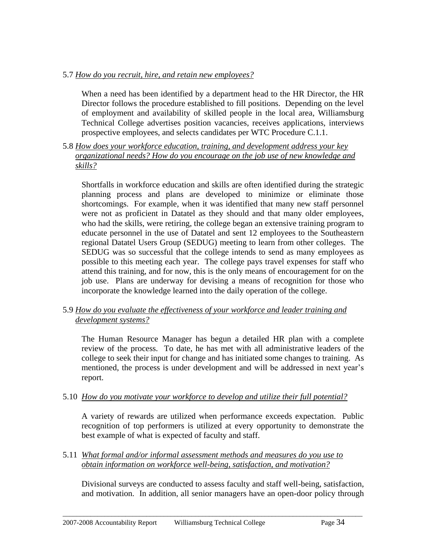#### 5.7 *How do you recruit, hire, and retain new employees?*

When a need has been identified by a department head to the HR Director, the HR Director follows the procedure established to fill positions. Depending on the level of employment and availability of skilled people in the local area, Williamsburg Technical College advertises position vacancies, receives applications, interviews prospective employees, and selects candidates per WTC Procedure C.1.1.

5.8 *How does your workforce education, training, and development address your key organizational needs? How do you encourage on the job use of new knowledge and skills?*

Shortfalls in workforce education and skills are often identified during the strategic planning process and plans are developed to minimize or eliminate those shortcomings. For example, when it was identified that many new staff personnel were not as proficient in Datatel as they should and that many older employees, who had the skills, were retiring, the college began an extensive training program to educate personnel in the use of Datatel and sent 12 employees to the Southeastern regional Datatel Users Group (SEDUG) meeting to learn from other colleges. The SEDUG was so successful that the college intends to send as many employees as possible to this meeting each year. The college pays travel expenses for staff who attend this training, and for now, this is the only means of encouragement for on the job use. Plans are underway for devising a means of recognition for those who incorporate the knowledge learned into the daily operation of the college.

#### 5.9 *How do you evaluate the effectiveness of your workforce and leader training and development systems?*

The Human Resource Manager has begun a detailed HR plan with a complete review of the process. To date, he has met with all administrative leaders of the college to seek their input for change and has initiated some changes to training. As mentioned, the process is under development and will be addressed in next year's report.

#### 5.10 *How do you motivate your workforce to develop and utilize their full potential?*

A variety of rewards are utilized when performance exceeds expectation. Public recognition of top performers is utilized at every opportunity to demonstrate the best example of what is expected of faculty and staff.

5.11 *What formal and/or informal assessment methods and measures do you use to obtain information on workforce well-being, satisfaction, and motivation?* 

Divisional surveys are conducted to assess faculty and staff well-being, satisfaction, and motivation. In addition, all senior managers have an open-door policy through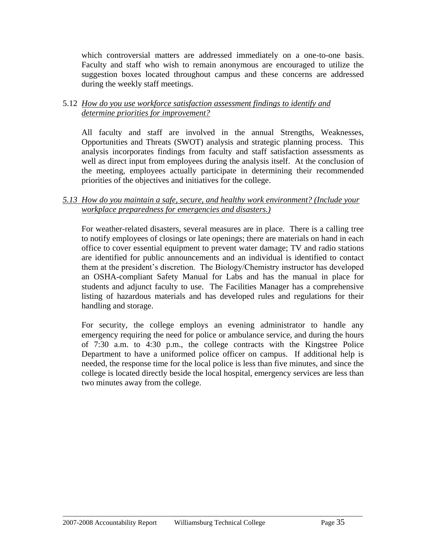which controversial matters are addressed immediately on a one-to-one basis. Faculty and staff who wish to remain anonymous are encouraged to utilize the suggestion boxes located throughout campus and these concerns are addressed during the weekly staff meetings.

#### 5.12 *How do you use workforce satisfaction assessment findings to identify and determine priorities for improvement?*

All faculty and staff are involved in the annual Strengths, Weaknesses, Opportunities and Threats (SWOT) analysis and strategic planning process. This analysis incorporates findings from faculty and staff satisfaction assessments as well as direct input from employees during the analysis itself. At the conclusion of the meeting, employees actually participate in determining their recommended priorities of the objectives and initiatives for the college.

#### *5.13 How do you maintain a safe, secure, and healthy work environment? (Include your workplace preparedness for emergencies and disasters.)*

For weather-related disasters, several measures are in place. There is a calling tree to notify employees of closings or late openings; there are materials on hand in each office to cover essential equipment to prevent water damage; TV and radio stations are identified for public announcements and an individual is identified to contact them at the president's discretion. The Biology/Chemistry instructor has developed an OSHA-compliant Safety Manual for Labs and has the manual in place for students and adjunct faculty to use. The Facilities Manager has a comprehensive listing of hazardous materials and has developed rules and regulations for their handling and storage.

For security, the college employs an evening administrator to handle any emergency requiring the need for police or ambulance service, and during the hours of 7:30 a.m. to 4:30 p.m., the college contracts with the Kingstree Police Department to have a uniformed police officer on campus. If additional help is needed, the response time for the local police is less than five minutes, and since the college is located directly beside the local hospital, emergency services are less than two minutes away from the college.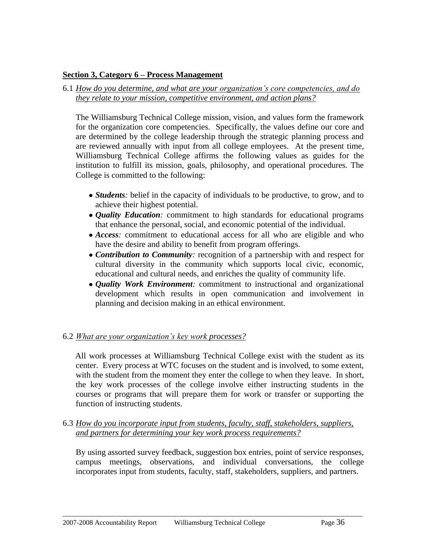#### **Section 3, Category 6 – Process Management**

6.1 *How do you determine, and what are your organization's core competencies, and do they relate to your mission, competitive environment, and action plans?*

The Williamsburg Technical College mission, vision, and values form the framework for the organization core competencies. Specifically, the values define our core and are determined by the college leadership through the strategic planning process and are reviewed annually with input from all college employees. At the present time, Williamsburg Technical College affirms the following values as guides for the institution to fulfill its mission, goals, philosophy, and operational procedures. The College is committed to the following:

- *Students*: belief in the capacity of individuals to be productive, to grow, and to achieve their highest potential.
- *Quality Education:* commitment to high standards for educational programs that enhance the personal, social, and economic potential of the individual.
- *Access*: commitment to educational access for all who are eligible and who have the desire and ability to benefit from program offerings.
- *Contribution to Community:* recognition of a partnership with and respect for cultural diversity in the community which supports local civic, economic, educational and cultural needs, and enriches the quality of community life.
- *Quality Work Environment:* commitment to instructional and organizational development which results in open communication and involvement in planning and decision making in an ethical environment.

#### 6.2 *What are your organization's key work processes?*

All work processes at Williamsburg Technical College exist with the student as its center. Every process at WTC focuses on the student and is involved, to some extent, with the student from the moment they enter the college to when they leave. In short, the key work processes of the college involve either instructing students in the courses or programs that will prepare them for work or transfer or supporting the function of instructing students.

6.3 *How do you incorporate input from students, faculty, staff, stakeholders, suppliers, and partners for determining your key work process requirements?*

By using assorted survey feedback, suggestion box entries, point of service responses, campus meetings, observations, and individual conversations, the college incorporates input from students, faculty, staff, stakeholders, suppliers, and partners.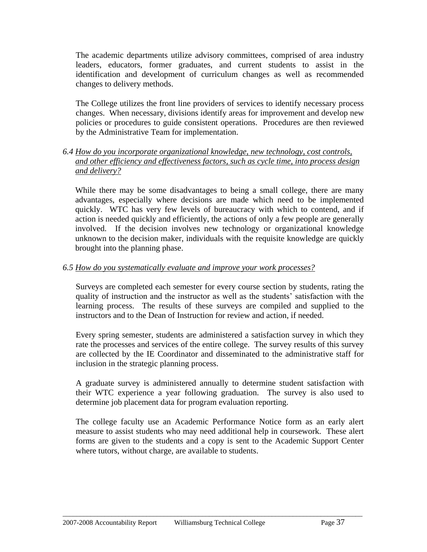The academic departments utilize advisory committees, comprised of area industry leaders, educators, former graduates, and current students to assist in the identification and development of curriculum changes as well as recommended changes to delivery methods.

The College utilizes the front line providers of services to identify necessary process changes. When necessary, divisions identify areas for improvement and develop new policies or procedures to guide consistent operations. Procedures are then reviewed by the Administrative Team for implementation.

#### *6.4 How do you incorporate organizational knowledge, new technology, cost controls, and other efficiency and effectiveness factors, such as cycle time, into process design and delivery?*

While there may be some disadvantages to being a small college, there are many advantages, especially where decisions are made which need to be implemented quickly. WTC has very few levels of bureaucracy with which to contend, and if action is needed quickly and efficiently, the actions of only a few people are generally involved. If the decision involves new technology or organizational knowledge unknown to the decision maker, individuals with the requisite knowledge are quickly brought into the planning phase.

#### *6.5 How do you systematically evaluate and improve your work processes?*

Surveys are completed each semester for every course section by students, rating the quality of instruction and the instructor as well as the students' satisfaction with the learning process. The results of these surveys are compiled and supplied to the instructors and to the Dean of Instruction for review and action, if needed.

Every spring semester, students are administered a satisfaction survey in which they rate the processes and services of the entire college. The survey results of this survey are collected by the IE Coordinator and disseminated to the administrative staff for inclusion in the strategic planning process.

A graduate survey is administered annually to determine student satisfaction with their WTC experience a year following graduation. The survey is also used to determine job placement data for program evaluation reporting.

The college faculty use an Academic Performance Notice form as an early alert measure to assist students who may need additional help in coursework. These alert forms are given to the students and a copy is sent to the Academic Support Center where tutors, without charge, are available to students.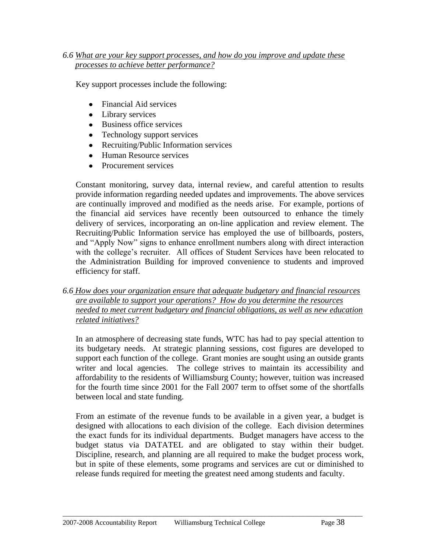#### *6.6 What are your key support processes, and how do you improve and update these processes to achieve better performance?*

Key support processes include the following:

- Financial Aid services
- $\bullet$ Library services
- Business office services
- Technology support services  $\bullet$
- Recruiting/Public Information services  $\bullet$
- Human Resource services  $\bullet$
- Procurement services

Constant monitoring, survey data, internal review, and careful attention to results provide information regarding needed updates and improvements. The above services are continually improved and modified as the needs arise. For example, portions of the financial aid services have recently been outsourced to enhance the timely delivery of services, incorporating an on-line application and review element. The Recruiting/Public Information service has employed the use of billboards, posters, and "Apply Now" signs to enhance enrollment numbers along with direct interaction with the college's recruiter. All offices of Student Services have been relocated to the Administration Building for improved convenience to students and improved efficiency for staff.

#### *6.6 How does your organization ensure that adequate budgetary and financial resources are available to support your operations? How do you determine the resources needed to meet current budgetary and financial obligations, as well as new education related initiatives?*

In an atmosphere of decreasing state funds, WTC has had to pay special attention to its budgetary needs. At strategic planning sessions, cost figures are developed to support each function of the college. Grant monies are sought using an outside grants writer and local agencies. The college strives to maintain its accessibility and affordability to the residents of Williamsburg County; however, tuition was increased for the fourth time since 2001 for the Fall 2007 term to offset some of the shortfalls between local and state funding.

From an estimate of the revenue funds to be available in a given year, a budget is designed with allocations to each division of the college. Each division determines the exact funds for its individual departments. Budget managers have access to the budget status via DATATEL and are obligated to stay within their budget. Discipline, research, and planning are all required to make the budget process work, but in spite of these elements, some programs and services are cut or diminished to release funds required for meeting the greatest need among students and faculty.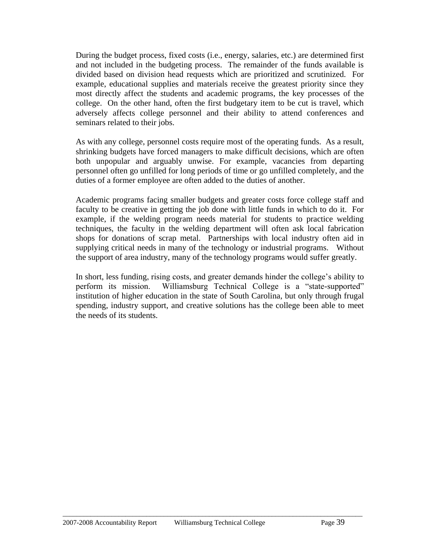During the budget process, fixed costs (i.e., energy, salaries, etc.) are determined first and not included in the budgeting process. The remainder of the funds available is divided based on division head requests which are prioritized and scrutinized. For example, educational supplies and materials receive the greatest priority since they most directly affect the students and academic programs, the key processes of the college. On the other hand, often the first budgetary item to be cut is travel, which adversely affects college personnel and their ability to attend conferences and seminars related to their jobs.

As with any college, personnel costs require most of the operating funds. As a result, shrinking budgets have forced managers to make difficult decisions, which are often both unpopular and arguably unwise. For example, vacancies from departing personnel often go unfilled for long periods of time or go unfilled completely, and the duties of a former employee are often added to the duties of another.

Academic programs facing smaller budgets and greater costs force college staff and faculty to be creative in getting the job done with little funds in which to do it. For example, if the welding program needs material for students to practice welding techniques, the faculty in the welding department will often ask local fabrication shops for donations of scrap metal. Partnerships with local industry often aid in supplying critical needs in many of the technology or industrial programs. Without the support of area industry, many of the technology programs would suffer greatly.

In short, less funding, rising costs, and greater demands hinder the college's ability to perform its mission. Williamsburg Technical College is a "state-supported" institution of higher education in the state of South Carolina, but only through frugal spending, industry support, and creative solutions has the college been able to meet the needs of its students.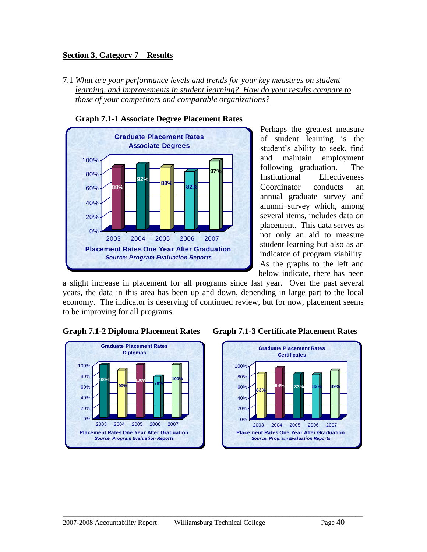#### **Section 3, Category 7 – Results**

7.1 *What are your performance levels and trends for your key measures on student learning, and improvements in student learning? How do your results compare to those of your competitors and comparable organizations?*



 **Graph 7.1-1 Associate Degree Placement Rates**

Perhaps the greatest measure of student learning is the student's ability to seek, find and maintain employment following graduation. The Institutional Effectiveness Coordinator conducts an annual graduate survey and alumni survey which, among several items, includes data on placement. This data serves as not only an aid to measure student learning but also as an indicator of program viability. As the graphs to the left and below indicate, there has been

a slight increase in placement for all programs since last year. Over the past several years, the data in this area has been up and down, depending in large part to the local economy. The indicator is deserving of continued review, but for now, placement seems to be improving for all programs.







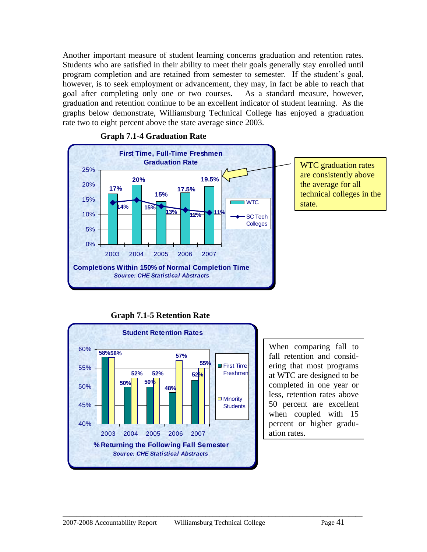Another important measure of student learning concerns graduation and retention rates. Students who are satisfied in their ability to meet their goals generally stay enrolled until program completion and are retained from semester to semester. If the student's goal, however, is to seek employment or advancement, they may, in fact be able to reach that goal after completing only one or two courses. As a standard measure, however, graduation and retention continue to be an excellent indicator of student learning. As the graphs below demonstrate, Williamsburg Technical College has enjoyed a graduation rate two to eight percent above the state average since 2003.



#### **Graph 7.1-4 Graduation Rate**

 **Graph 7.1-5 Retention Rate**



When comparing fall to fall retention and considering that most programs at WTC are designed to be completed in one year or less, retention rates above 50 percent are excellent when coupled with 15 percent or higher graduation rates.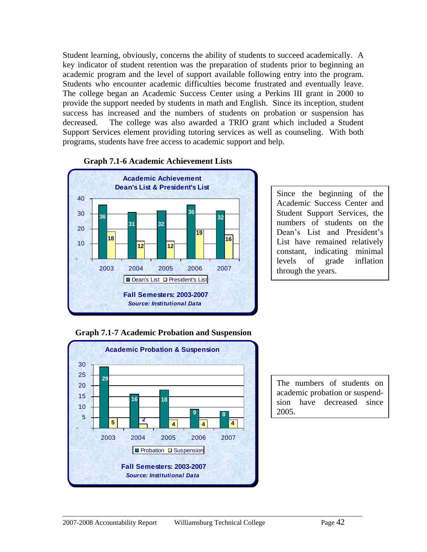Student learning, obviously, concerns the ability of students to succeed academically. A key indicator of student retention was the preparation of students prior to beginning an academic program and the level of support available following entry into the program. Students who encounter academic difficulties become frustrated and eventually leave. The college began an Academic Success Center using a Perkins III grant in 2000 to provide the support needed by students in math and English. Since its inception, student success has increased and the numbers of students on probation or suspension has decreased. The college was also awarded a TRIO grant which included a Student Support Services element providing tutoring services as well as counseling. With both programs, students have free access to academic support and help.



#### **Graph 7.1-6 Academic Achievement Lists**

Since the beginning of the Academic Success Center and Student Support Services, the numbers of students on the Dean's List and President's List have remained relatively constant, indicating minimal levels of grade inflation through the years.





The numbers of students on academic probation or suspendsion have decreased since 2005.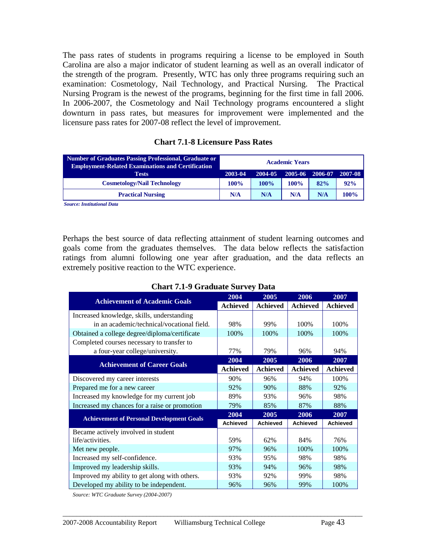The pass rates of students in programs requiring a license to be employed in South Carolina are also a major indicator of student learning as well as an overall indicator of the strength of the program. Presently, WTC has only three programs requiring such an examination: Cosmetology, Nail Technology, and Practical Nursing. The Practical Nursing Program is the newest of the programs, beginning for the first time in fall 2006. In 2006-2007, the Cosmetology and Nail Technology programs encountered a slight downturn in pass rates, but measures for improvement were implemented and the licensure pass rates for 2007-08 reflect the level of improvement.

| Number of Graduates Passing Professional, Graduate or<br><b>Employment-Related Examinations and Certification</b> | <b>Academic Years</b> |         |         |                 |      |  |  |  |
|-------------------------------------------------------------------------------------------------------------------|-----------------------|---------|---------|-----------------|------|--|--|--|
| <b>Tests</b>                                                                                                      | 2003-04               | 2004-05 | 2005-06 | 2006-07 2007-08 |      |  |  |  |
| <b>Cosmetology/Nail Technology</b>                                                                                | 100%                  | $100\%$ | 100%    | 82%             | 92%  |  |  |  |
| <b>Practical Nursing</b>                                                                                          | N/A                   | N/A     | N/A     | N/A             | 100% |  |  |  |

**Chart 7.1-8 Licensure Pass Rates**

| <b>Chart 7.1-9 Graduate Survey Data</b> |  |
|-----------------------------------------|--|
|-----------------------------------------|--|

| <b>Tests</b>                                                                                                                                                                                                                                                                                                                                                 | 2003-04         | 2004-05         | 2005-06         | 2006-07 | 2007-08         |  |
|--------------------------------------------------------------------------------------------------------------------------------------------------------------------------------------------------------------------------------------------------------------------------------------------------------------------------------------------------------------|-----------------|-----------------|-----------------|---------|-----------------|--|
| <b>Cosmetology/Nail Technology</b>                                                                                                                                                                                                                                                                                                                           | 100%            | 100%            | 100%            | 82%     | 92%             |  |
| <b>Practical Nursing</b>                                                                                                                                                                                                                                                                                                                                     | N/A             | N/A             | N/A             | N/A     | 100%            |  |
| <b>Source: Institutional Data</b><br>Perhaps the best source of data reflecting attainment of student learning outcomes and<br>goals come from the graduates themselves. The data below reflects the satisfaction<br>ratings from alumni following one year after graduation, and the data reflects an<br>extremely positive reaction to the WTC experience. |                 |                 |                 |         |                 |  |
| <b>Chart 7.1-9 Graduate Survey Data</b>                                                                                                                                                                                                                                                                                                                      |                 |                 |                 |         |                 |  |
|                                                                                                                                                                                                                                                                                                                                                              | 2004            | 2005            | 2006            |         | 2007            |  |
| <b>Achievement of Academic Goals</b>                                                                                                                                                                                                                                                                                                                         | <b>Achieved</b> | <b>Achieved</b> | <b>Achieved</b> |         | <b>Achieved</b> |  |
| Increased knowledge, skills, understanding                                                                                                                                                                                                                                                                                                                   |                 |                 |                 |         |                 |  |
| in an academic/technical/vocational field.                                                                                                                                                                                                                                                                                                                   | 98%             | 99%             | 100%            |         | 100%            |  |
| Obtained a college degree/diploma/certificate                                                                                                                                                                                                                                                                                                                | 100%            | 100%            | 100%            |         | 100%            |  |
| Completed courses necessary to transfer to                                                                                                                                                                                                                                                                                                                   |                 |                 |                 |         |                 |  |
| a four-year college/university.                                                                                                                                                                                                                                                                                                                              | 77%             | 79%             | 96%             |         | 94%             |  |
| <b>Achievement of Career Goals</b>                                                                                                                                                                                                                                                                                                                           | 2004            | 2005            | 2006            |         | 2007            |  |
|                                                                                                                                                                                                                                                                                                                                                              | <b>Achieved</b> | <b>Achieved</b> | <b>Achieved</b> |         | <b>Achieved</b> |  |
| Discovered my career interests                                                                                                                                                                                                                                                                                                                               | 90%             | 96%             | 94%             |         | 100%            |  |
| Prepared me for a new career                                                                                                                                                                                                                                                                                                                                 | 92%             | 90%             | 88%             |         | 92%             |  |
| Increased my knowledge for my current job                                                                                                                                                                                                                                                                                                                    | 89%             | 93%             | 96%             |         | 98%             |  |
| Increased my chances for a raise or promotion                                                                                                                                                                                                                                                                                                                | 79%             | 85%             | 87%             |         | 88%             |  |
| <b>Achievement of Personal Development Goals</b>                                                                                                                                                                                                                                                                                                             | 2004            | 2005            | 2006            |         | 2007            |  |
|                                                                                                                                                                                                                                                                                                                                                              | <b>Achieved</b> | <b>Achieved</b> | <b>Achieved</b> |         | <b>Achieved</b> |  |
| Became actively involved in student<br>life/activities.                                                                                                                                                                                                                                                                                                      | 59%             | 62%             | 84%             |         | 76%             |  |
| Met new people.                                                                                                                                                                                                                                                                                                                                              | 97%             | 96%             | 100%            |         | 100%            |  |
| Increased my self-confidence.                                                                                                                                                                                                                                                                                                                                | 93%             | 95%             | 98%             |         | 98%             |  |
| Improved my leadership skills.                                                                                                                                                                                                                                                                                                                               | 93%             | 94%             | 96%             |         | 98%             |  |
| Improved my ability to get along with others.                                                                                                                                                                                                                                                                                                                | 93%             | 92%             | 99%             |         | 98%             |  |
| Developed my ability to be independent.                                                                                                                                                                                                                                                                                                                      | 96%             | 96%             | 99%             |         | 100%            |  |
| Source: WTC Graduate Survey (2004-2007)                                                                                                                                                                                                                                                                                                                      |                 |                 |                 |         |                 |  |
| 2007-2008 Accountability Report<br>Williamsburg Technical College                                                                                                                                                                                                                                                                                            |                 |                 |                 | Page 43 |                 |  |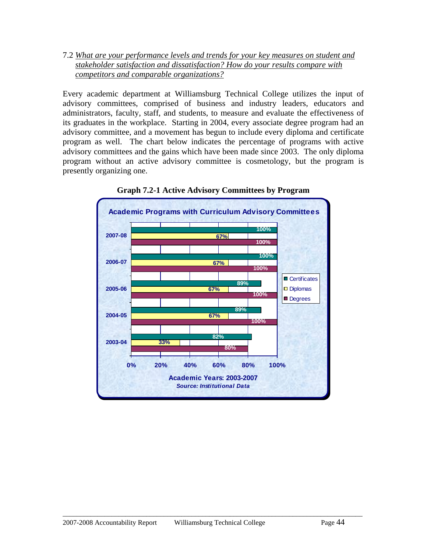7.2 *What are your performance levels and trends for your key measures on student and stakeholder satisfaction and dissatisfaction? How do your results compare with competitors and comparable organizations?*

Every academic department at Williamsburg Technical College utilizes the input of advisory committees, comprised of business and industry leaders, educators and administrators, faculty, staff, and students, to measure and evaluate the effectiveness of its graduates in the workplace. Starting in 2004, every associate degree program had an advisory committee, and a movement has begun to include every diploma and certificate program as well. The chart below indicates the percentage of programs with active advisory committees and the gains which have been made since 2003. The only diploma program without an active advisory committee is cosmetology, but the program is presently organizing one.



**Graph 7.2-1 Active Advisory Committees by Program**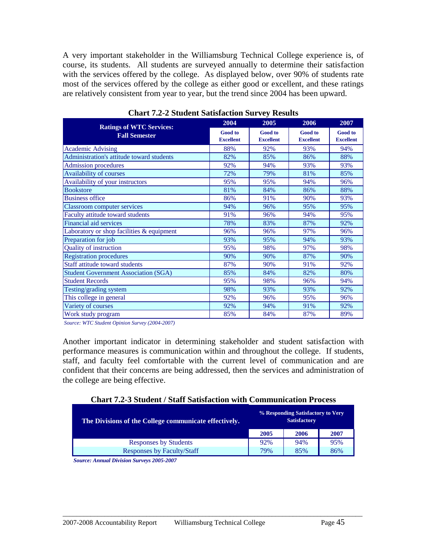A very important stakeholder in the Williamsburg Technical College experience is, of course, its students. All students are surveyed annually to determine their satisfaction with the services offered by the college. As displayed below, over 90% of students rate most of the services offered by the college as either good or excellent, and these ratings are relatively consistent from year to year, but the trend since 2004 has been upward.

| <b>Ratings of WTC Services:</b>             | 2004                               | 2005                               | 2006                               | 2007                               |
|---------------------------------------------|------------------------------------|------------------------------------|------------------------------------|------------------------------------|
| <b>Fall Semester</b>                        | <b>Good</b> to<br><b>Excellent</b> | <b>Good</b> to<br><b>Excellent</b> | <b>Good</b> to<br><b>Excellent</b> | <b>Good</b> to<br><b>Excellent</b> |
| <b>Academic Advising</b>                    | 88%                                | 92%                                | 93%                                | 94%                                |
| Administration's attitude toward students   | 82%                                | 85%                                | 86%                                | 88%                                |
| <b>Admission procedures</b>                 | 92%                                | 94%                                | 93%                                | 93%                                |
| <b>Availability of courses</b>              | 72%                                | 79%                                | 81%                                | 85%                                |
| Availability of your instructors            | 95%                                | 95%                                | 94%                                | 96%                                |
| <b>Bookstore</b>                            | 81%                                | 84%                                | 86%                                | 88%                                |
| <b>Business office</b>                      | 86%                                | 91%                                | 90%                                | 93%                                |
| <b>Classroom computer services</b>          | 94%                                | 96%                                | 95%                                | 95%                                |
| Faculty attitude toward students            | 91%                                | 96%                                | 94%                                | 95%                                |
| Financial aid services                      | 78%                                | 83%                                | 87%                                | 92%                                |
| Laboratory or shop facilities & equipment   | 96%                                | 96%                                | 97%                                | 96%                                |
| Preparation for job                         | 93%                                | 95%                                | 94%                                | 93%                                |
| <b>Quality of instruction</b>               | 95%                                | 98%                                | 97%                                | 98%                                |
| <b>Registration procedures</b>              | 90%                                | 90%                                | 87%                                | 90%                                |
| Staff attitude toward students              | 87%                                | 90%                                | 91%                                | 92%                                |
| <b>Student Government Association (SGA)</b> | 85%                                | 84%                                | 82%                                | 80%                                |
| <b>Student Records</b>                      | 95%                                | 98%                                | 96%                                | 94%                                |
| Testing/grading system                      | 98%                                | 93%                                | 93%                                | 92%                                |
| This college in general                     | 92%                                | 96%                                | 95%                                | 96%                                |
| Variety of courses                          | 92%                                | 94%                                | 91%                                | 92%                                |
| Work study program                          | 85%                                | 84%                                | 87%                                | 89%                                |

#### **Chart 7.2-2 Student Satisfaction Survey Results**

*Source: WTC Student Opinion Survey (2004-2007)*

Another important indicator in determining stakeholder and student satisfaction with performance measures is communication within and throughout the college. If students, staff, and faculty feel comfortable with the current level of communication and are confident that their concerns are being addressed, then the services and administration of the college are being effective.

| <b>Chart 7.2-3 Student / Staff Satisfaction with Communication Process</b> |  |
|----------------------------------------------------------------------------|--|
|----------------------------------------------------------------------------|--|

| The Divisions of the College communicate effectively. | % Responding Satisfactory to Very<br><b>Satisfactory</b> |      |      |
|-------------------------------------------------------|----------------------------------------------------------|------|------|
|                                                       | 2005                                                     | 2006 | 2007 |
| <b>Responses by Students</b>                          | 92%                                                      | 94%  | 95%  |
| <b>Responses by Faculty/Staff</b>                     | 79%                                                      | 85%  | 86%  |

 $\_$  ,  $\_$  ,  $\_$  ,  $\_$  ,  $\_$  ,  $\_$  ,  $\_$  ,  $\_$  ,  $\_$  ,  $\_$  ,  $\_$  ,  $\_$  ,  $\_$  ,  $\_$  ,  $\_$  ,  $\_$  ,  $\_$  ,  $\_$  ,  $\_$  ,  $\_$  ,  $\_$  ,  $\_$  ,  $\_$  ,  $\_$  ,  $\_$  ,  $\_$  ,  $\_$  ,  $\_$  ,  $\_$  ,  $\_$  ,  $\_$  ,  $\_$  ,  $\_$  ,  $\_$  ,  $\_$  ,  $\_$  ,  $\_$  ,

*Source: Annual Division Surveys 2005-2007*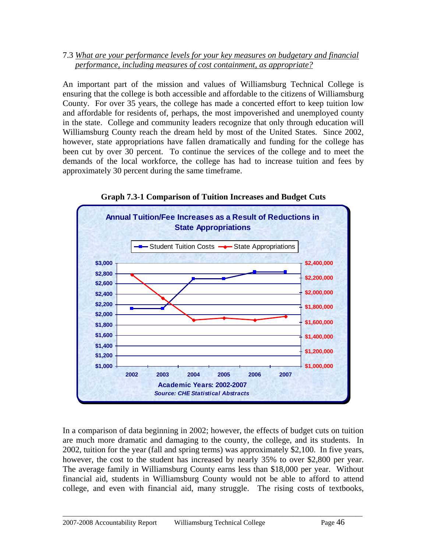#### 7.3 *What are your performance levels for your key measures on budgetary and financial performance, including measures of cost containment, as appropriate?*

An important part of the mission and values of Williamsburg Technical College is ensuring that the college is both accessible and affordable to the citizens of Williamsburg County. For over 35 years, the college has made a concerted effort to keep tuition low and affordable for residents of, perhaps, the most impoverished and unemployed county in the state. College and community leaders recognize that only through education will Williamsburg County reach the dream held by most of the United States. Since 2002, however, state appropriations have fallen dramatically and funding for the college has been cut by over 30 percent. To continue the services of the college and to meet the demands of the local workforce, the college has had to increase tuition and fees by approximately 30 percent during the same timeframe.



**Graph 7.3-1 Comparison of Tuition Increases and Budget Cuts**

In a comparison of data beginning in 2002; however, the effects of budget cuts on tuition are much more dramatic and damaging to the county, the college, and its students. In 2002, tuition for the year (fall and spring terms) was approximately \$2,100. In five years, however, the cost to the student has increased by nearly 35% to over \$2,800 per year. The average family in Williamsburg County earns less than \$18,000 per year. Without financial aid, students in Williamsburg County would not be able to afford to attend college, and even with financial aid, many struggle. The rising costs of textbooks,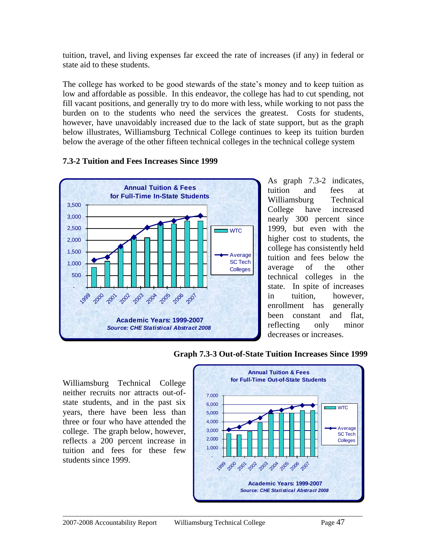tuition, travel, and living expenses far exceed the rate of increases (if any) in federal or state aid to these students.

The college has worked to be good stewards of the state's money and to keep tuition as low and affordable as possible. In this endeavor, the college has had to cut spending, not fill vacant positions, and generally try to do more with less, while working to not pass the burden on to the students who need the services the greatest. Costs for students, however, have unavoidably increased due to the lack of state support, but as the graph below illustrates, Williamsburg Technical College continues to keep its tuition burden below the average of the other fifteen technical colleges in the technical college system



#### **7.3-2 Tuition and Fees Increases Since 1999**

As graph 7.3-2 indicates, tuition and fees at Williamsburg Technical College have increased nearly 300 percent since 1999, but even with the higher cost to students, the college has consistently held tuition and fees below the average of the other technical colleges in the state. In spite of increases in tuition, however, enrollment has generally been constant and flat, reflecting only minor decreases or increases.

Williamsburg Technical College neither recruits nor attracts out-ofstate students, and in the past six years, there have been less than three or four who have attended the college. The graph below, however, reflects a 200 percent increase in tuition and fees for these few students since 1999.

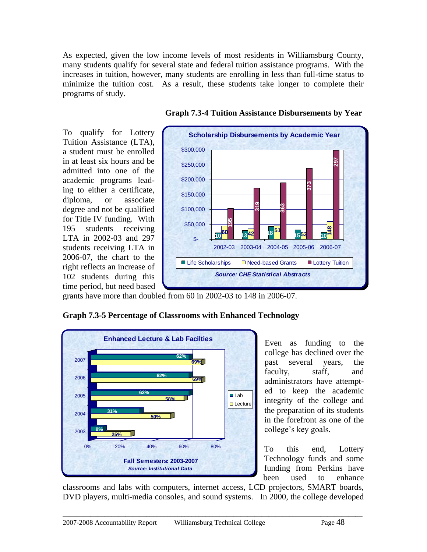As expected, given the low income levels of most residents in Williamsburg County, many students qualify for several state and federal tuition assistance programs. With the increases in tuition, however, many students are enrolling in less than full-time status to minimize the tuition cost. As a result, these students take longer to complete their programs of study.

To qualify for Lottery Tuition Assistance (LTA), a student must be enrolled in at least six hours and be admitted into one of the academic programs leading to either a certificate, diploma, or associate degree and not be qualified for Title IV funding. With 195 students receiving LTA in 2002-03 and 297 students receiving LTA in 2006-07, the chart to the right reflects an increase of 102 students during this time period, but need based



 **Graph 7.3-4 Tuition Assistance Disbursements by Year**

grants have more than doubled from 60 in 2002-03 to 148 in 2006-07.



**Graph 7.3-5 Percentage of Classrooms with Enhanced Technology**

Even as funding to the college has declined over the past several years, the faculty, staff, and administrators have attempted to keep the academic integrity of the college and the preparation of its students in the forefront as one of the college's key goals.

To this end, Lottery Technology funds and some funding from Perkins have been used to enhance

classrooms and labs with computers, internet access, LCD projectors, SMART boards, DVD players, multi-media consoles, and sound systems. In 2000, the college developed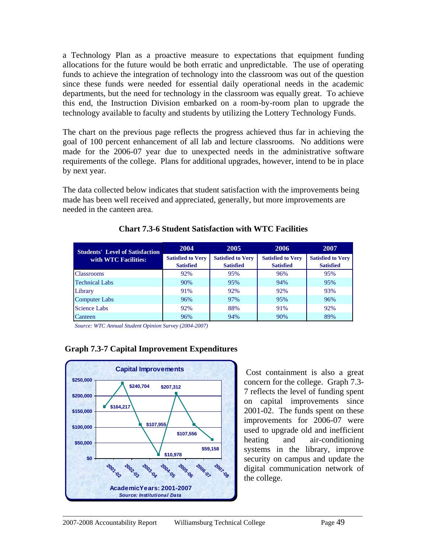a Technology Plan as a proactive measure to expectations that equipment funding allocations for the future would be both erratic and unpredictable. The use of operating funds to achieve the integration of technology into the classroom was out of the question since these funds were needed for essential daily operational needs in the academic departments, but the need for technology in the classroom was equally great. To achieve this end, the Instruction Division embarked on a room-by-room plan to upgrade the technology available to faculty and students by utilizing the Lottery Technology Funds.

The chart on the previous page reflects the progress achieved thus far in achieving the goal of 100 percent enhancement of all lab and lecture classrooms. No additions were made for the 2006-07 year due to unexpected needs in the administrative software requirements of the college. Plans for additional upgrades, however, intend to be in place by next year.

The data collected below indicates that student satisfaction with the improvements being made has been well received and appreciated, generally, but more improvements are needed in the canteen area.

| <b>Students' Level of Satisfaction</b> | 2004                                         | 2005                                         | 2006                                         | 2007                                         |
|----------------------------------------|----------------------------------------------|----------------------------------------------|----------------------------------------------|----------------------------------------------|
| with WTC Facilities:                   | <b>Satisfied to Very</b><br><b>Satisfied</b> | <b>Satisfied to Very</b><br><b>Satisfied</b> | <b>Satisfied to Very</b><br><b>Satisfied</b> | <b>Satisfied to Very</b><br><b>Satisfied</b> |
| <b>Classrooms</b>                      | 92%                                          | 95%                                          | 96%                                          | 95%                                          |
| <b>Technical Labs</b>                  | 90%                                          | 95%                                          | 94%                                          | 95%                                          |
| Library                                | 91%                                          | 92%                                          | 92%                                          | 93%                                          |
| <b>Computer Labs</b>                   | 96%                                          | 97%                                          | 95%                                          | 96%                                          |
| <b>Science Labs</b>                    | 92%                                          | 88%                                          | 91%                                          | 92%                                          |
| Canteen                                | 96%                                          | 94%                                          | 90%                                          | 89%                                          |

 $\_$  ,  $\_$  ,  $\_$  ,  $\_$  ,  $\_$  ,  $\_$  ,  $\_$  ,  $\_$  ,  $\_$  ,  $\_$  ,  $\_$  ,  $\_$  ,  $\_$  ,  $\_$  ,  $\_$  ,  $\_$  ,  $\_$  ,  $\_$  ,  $\_$  ,  $\_$  ,  $\_$  ,  $\_$  ,  $\_$  ,  $\_$  ,  $\_$  ,  $\_$  ,  $\_$  ,  $\_$  ,  $\_$  ,  $\_$  ,  $\_$  ,  $\_$  ,  $\_$  ,  $\_$  ,  $\_$  ,  $\_$  ,  $\_$  ,

#### **Chart 7.3-6 Student Satisfaction with WTC Facilities**

*Source: WTC Annual Student Opinion Survey (2004-2007)*



#### **Graph 7.3-7 Capital Improvement Expenditures**

Cost containment is also a great concern for the college. Graph 7.3- 7 reflects the level of funding spent on capital improvements since 2001-02. The funds spent on these improvements for 2006-07 were used to upgrade old and inefficient heating and air-conditioning systems in the library, improve security on campus and update the digital communication network of the college.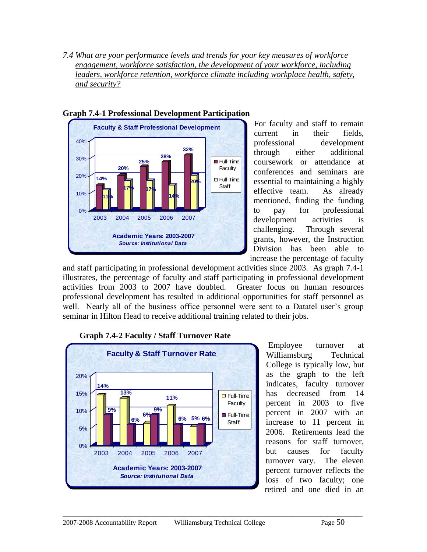*7.4 What are your performance levels and trends for your key measures of workforce engagement, workforce satisfaction, the development of your workforce, including leaders, workforce retention, workforce climate including workplace health, safety, and security?*



#### **Graph 7.4-1 Professional Development Participation**

For faculty and staff to remain current in their fields, professional development through either additional coursework or attendance at conferences and seminars are essential to maintaining a highly effective team. As already mentioned, finding the funding to pay for professional development activities is challenging. Through several grants, however, the Instruction Division has been able to increase the percentage of faculty

and staff participating in professional development activities since 2003. As graph 7.4-1 illustrates, the percentage of faculty and staff participating in professional development activities from 2003 to 2007 have doubled. Greater focus on human resources professional development has resulted in additional opportunities for staff personnel as well. Nearly all of the business office personnel were sent to a Datatel user's group seminar in Hilton Head to receive additional training related to their jobs.

 $\_$  ,  $\_$  ,  $\_$  ,  $\_$  ,  $\_$  ,  $\_$  ,  $\_$  ,  $\_$  ,  $\_$  ,  $\_$  ,  $\_$  ,  $\_$  ,  $\_$  ,  $\_$  ,  $\_$  ,  $\_$  ,  $\_$  ,  $\_$  ,  $\_$  ,  $\_$  ,  $\_$  ,  $\_$  ,  $\_$  ,  $\_$  ,  $\_$  ,  $\_$  ,  $\_$  ,  $\_$  ,  $\_$  ,  $\_$  ,  $\_$  ,  $\_$  ,  $\_$  ,  $\_$  ,  $\_$  ,  $\_$  ,  $\_$  ,



#### **Graph 7.4-2 Faculty / Staff Turnover Rate**

Employee turnover at Williamsburg Technical College is typically low, but as the graph to the left indicates, faculty turnover has decreased from 14 percent in 2003 to five percent in 2007 with an increase to 11 percent in 2006. Retirements lead the reasons for staff turnover, but causes for faculty turnover vary. The eleven percent turnover reflects the loss of two faculty; one retired and one died in an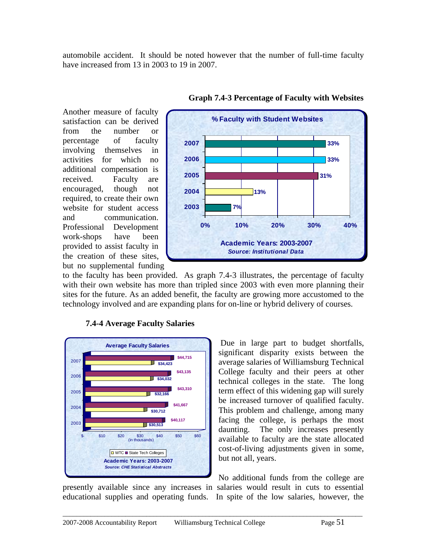automobile accident. It should be noted however that the number of full-time faculty have increased from 13 in 2003 to 19 in 2007.

Another measure of faculty satisfaction can be derived from the number or percentage of faculty involving themselves in activities for which no additional compensation is received. Faculty are encouraged, though not required, to create their own website for student access and communication. Professional Development work-shops have been provided to assist faculty in the creation of these sites, but no supplemental funding



**Graph 7.4-3 Percentage of Faculty with Websites**

to the faculty has been provided. As graph 7.4-3 illustrates, the percentage of faculty with their own website has more than tripled since 2003 with even more planning their sites for the future. As an added benefit, the faculty are growing more accustomed to the technology involved and are expanding plans for on-line or hybrid delivery of courses.

 $\_$  ,  $\_$  ,  $\_$  ,  $\_$  ,  $\_$  ,  $\_$  ,  $\_$  ,  $\_$  ,  $\_$  ,  $\_$  ,  $\_$  ,  $\_$  ,  $\_$  ,  $\_$  ,  $\_$  ,  $\_$  ,  $\_$  ,  $\_$  ,  $\_$  ,  $\_$  ,  $\_$  ,  $\_$  ,  $\_$  ,  $\_$  ,  $\_$  ,  $\_$  ,  $\_$  ,  $\_$  ,  $\_$  ,  $\_$  ,  $\_$  ,  $\_$  ,  $\_$  ,  $\_$  ,  $\_$  ,  $\_$  ,  $\_$  ,



#### **7.4-4 Average Faculty Salaries**

Due in large part to budget shortfalls, significant disparity exists between the average salaries of Williamsburg Technical College faculty and their peers at other technical colleges in the state. The long term effect of this widening gap will surely be increased turnover of qualified faculty. This problem and challenge, among many facing the college, is perhaps the most daunting. The only increases presently available to faculty are the state allocated cost-of-living adjustments given in some, but not all, years.

No additional funds from the college are presently available since any increases in salaries would result in cuts to essential educational supplies and operating funds. In spite of the low salaries, however, the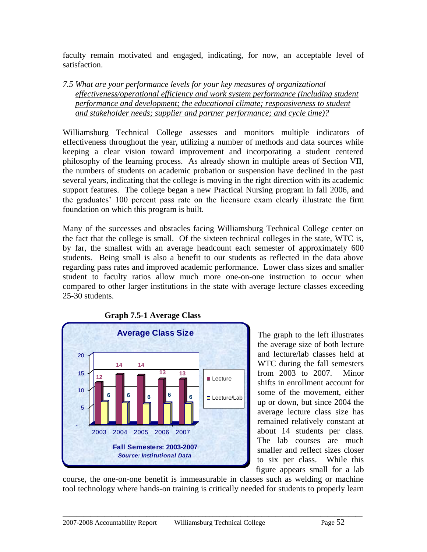faculty remain motivated and engaged, indicating, for now, an acceptable level of satisfaction.

*7.5 What are your performance levels for your key measures of organizational effectiveness/operational efficiency and work system performance (including student performance and development; the educational climate; responsiveness to student and stakeholder needs; supplier and partner performance; and cycle time)?*

Williamsburg Technical College assesses and monitors multiple indicators of effectiveness throughout the year, utilizing a number of methods and data sources while keeping a clear vision toward improvement and incorporating a student centered philosophy of the learning process. As already shown in multiple areas of Section VII, the numbers of students on academic probation or suspension have declined in the past several years, indicating that the college is moving in the right direction with its academic support features. The college began a new Practical Nursing program in fall 2006, and the graduates' 100 percent pass rate on the licensure exam clearly illustrate the firm foundation on which this program is built.

Many of the successes and obstacles facing Williamsburg Technical College center on the fact that the college is small. Of the sixteen technical colleges in the state, WTC is, by far, the smallest with an average headcount each semester of approximately 600 students. Being small is also a benefit to our students as reflected in the data above regarding pass rates and improved academic performance. Lower class sizes and smaller student to faculty ratios allow much more one-on-one instruction to occur when compared to other larger institutions in the state with average lecture classes exceeding 25-30 students.



The graph to the left illustrates the average size of both lecture and lecture/lab classes held at WTC during the fall semesters from 2003 to 2007. Minor shifts in enrollment account for some of the movement, either up or down, but since 2004 the average lecture class size has remained relatively constant at about 14 students per class. The lab courses are much smaller and reflect sizes closer to six per class. While this figure appears small for a lab

course, the one-on-one benefit is immeasurable in classes such as welding or machine tool technology where hands-on training is critically needed for students to properly learn

 **Graph 7.5-1 Average Class**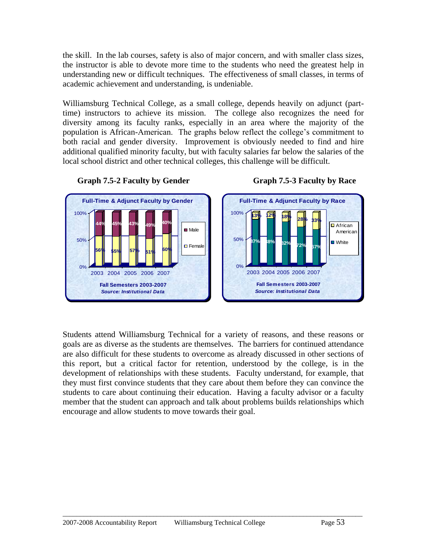the skill. In the lab courses, safety is also of major concern, and with smaller class sizes, the instructor is able to devote more time to the students who need the greatest help in understanding new or difficult techniques. The effectiveness of small classes, in terms of academic achievement and understanding, is undeniable.

Williamsburg Technical College, as a small college, depends heavily on adjunct (parttime) instructors to achieve its mission. The college also recognizes the need for diversity among its faculty ranks, especially in an area where the majority of the population is African-American. The graphs below reflect the college's commitment to both racial and gender diversity. Improvement is obviously needed to find and hire additional qualified minority faculty, but with faculty salaries far below the salaries of the local school district and other technical colleges, this challenge will be difficult.



#### **Graph 7.5-2 Faculty by Gender Graph 7.5-3 Faculty by Race**

Students attend Williamsburg Technical for a variety of reasons, and these reasons or goals are as diverse as the students are themselves. The barriers for continued attendance are also difficult for these students to overcome as already discussed in other sections of this report, but a critical factor for retention, understood by the college, is in the development of relationships with these students. Faculty understand, for example, that they must first convince students that they care about them before they can convince the students to care about continuing their education. Having a faculty advisor or a faculty member that the student can approach and talk about problems builds relationships which encourage and allow students to move towards their goal.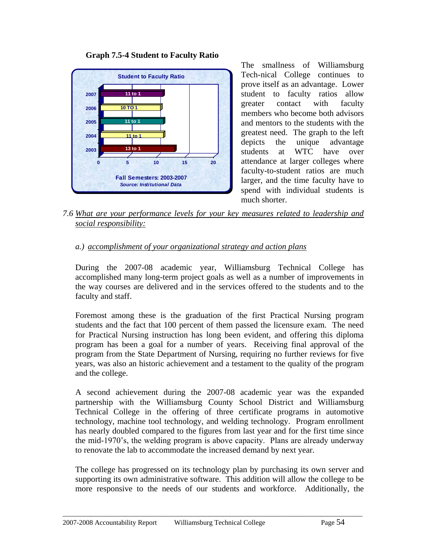

 **Graph 7.5-4 Student to Faculty Ratio**

The smallness of Williamsburg Tech-nical College continues to prove itself as an advantage. Lower student to faculty ratios allow greater contact with faculty members who become both advisors and mentors to the students with the greatest need. The graph to the left depicts the unique advantage students at WTC have over attendance at larger colleges where faculty-to-student ratios are much larger, and the time faculty have to spend with individual students is much shorter.

*7.6 What are your performance levels for your key measures related to leadership and social responsibility:* 

#### *a.) accomplishment of your organizational strategy and action plans*

During the 2007-08 academic year, Williamsburg Technical College has accomplished many long-term project goals as well as a number of improvements in the way courses are delivered and in the services offered to the students and to the faculty and staff.

Foremost among these is the graduation of the first Practical Nursing program students and the fact that 100 percent of them passed the licensure exam. The need for Practical Nursing instruction has long been evident, and offering this diploma program has been a goal for a number of years. Receiving final approval of the program from the State Department of Nursing, requiring no further reviews for five years, was also an historic achievement and a testament to the quality of the program and the college.

A second achievement during the 2007-08 academic year was the expanded partnership with the Williamsburg County School District and Williamsburg Technical College in the offering of three certificate programs in automotive technology, machine tool technology, and welding technology. Program enrollment has nearly doubled compared to the figures from last year and for the first time since the mid-1970's, the welding program is above capacity. Plans are already underway to renovate the lab to accommodate the increased demand by next year.

The college has progressed on its technology plan by purchasing its own server and supporting its own administrative software. This addition will allow the college to be more responsive to the needs of our students and workforce. Additionally, the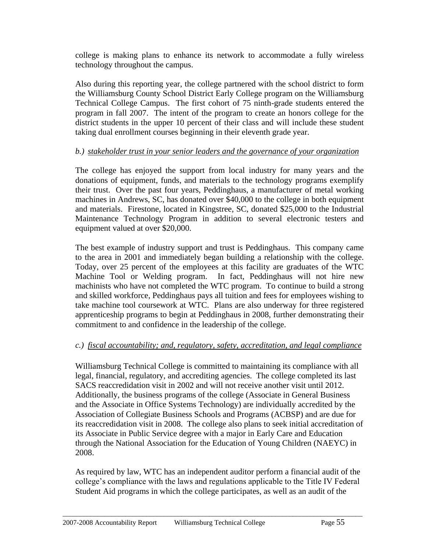college is making plans to enhance its network to accommodate a fully wireless technology throughout the campus.

Also during this reporting year, the college partnered with the school district to form the Williamsburg County School District Early College program on the Williamsburg Technical College Campus. The first cohort of 75 ninth-grade students entered the program in fall 2007. The intent of the program to create an honors college for the district students in the upper 10 percent of their class and will include these student taking dual enrollment courses beginning in their eleventh grade year.

#### *b.) stakeholder trust in your senior leaders and the governance of your organization*

The college has enjoyed the support from local industry for many years and the donations of equipment, funds, and materials to the technology programs exemplify their trust. Over the past four years, Peddinghaus, a manufacturer of metal working machines in Andrews, SC, has donated over \$40,000 to the college in both equipment and materials. Firestone, located in Kingstree, SC, donated \$25,000 to the Industrial Maintenance Technology Program in addition to several electronic testers and equipment valued at over \$20,000.

The best example of industry support and trust is Peddinghaus. This company came to the area in 2001 and immediately began building a relationship with the college. Today, over 25 percent of the employees at this facility are graduates of the WTC Machine Tool or Welding program. In fact, Peddinghaus will not hire new machinists who have not completed the WTC program. To continue to build a strong and skilled workforce, Peddinghaus pays all tuition and fees for employees wishing to take machine tool coursework at WTC. Plans are also underway for three registered apprenticeship programs to begin at Peddinghaus in 2008, further demonstrating their commitment to and confidence in the leadership of the college.

# *c.) fiscal accountability; and, regulatory, safety, accreditation, and legal compliance*

Williamsburg Technical College is committed to maintaining its compliance with all legal, financial, regulatory, and accrediting agencies. The college completed its last SACS reaccredidation visit in 2002 and will not receive another visit until 2012. Additionally, the business programs of the college (Associate in General Business and the Associate in Office Systems Technology) are individually accredited by the Association of Collegiate Business Schools and Programs (ACBSP) and are due for its reaccredidation visit in 2008. The college also plans to seek initial accreditation of its Associate in Public Service degree with a major in Early Care and Education through the National Association for the Education of Young Children (NAEYC) in 2008.

As required by law, WTC has an independent auditor perform a financial audit of the college's compliance with the laws and regulations applicable to the Title IV Federal Student Aid programs in which the college participates, as well as an audit of the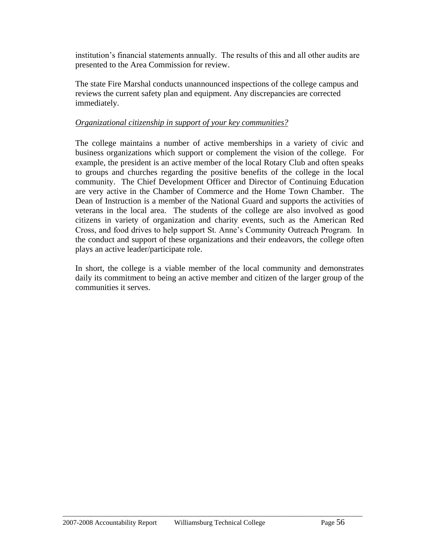institution's financial statements annually. The results of this and all other audits are presented to the Area Commission for review.

The state Fire Marshal conducts unannounced inspections of the college campus and reviews the current safety plan and equipment. Any discrepancies are corrected immediately.

#### *Organizational citizenship in support of your key communities?*

The college maintains a number of active memberships in a variety of civic and business organizations which support or complement the vision of the college. For example, the president is an active member of the local Rotary Club and often speaks to groups and churches regarding the positive benefits of the college in the local community. The Chief Development Officer and Director of Continuing Education are very active in the Chamber of Commerce and the Home Town Chamber. The Dean of Instruction is a member of the National Guard and supports the activities of veterans in the local area. The students of the college are also involved as good citizens in variety of organization and charity events, such as the American Red Cross, and food drives to help support St. Anne's Community Outreach Program. In the conduct and support of these organizations and their endeavors, the college often plays an active leader/participate role.

In short, the college is a viable member of the local community and demonstrates daily its commitment to being an active member and citizen of the larger group of the communities it serves.